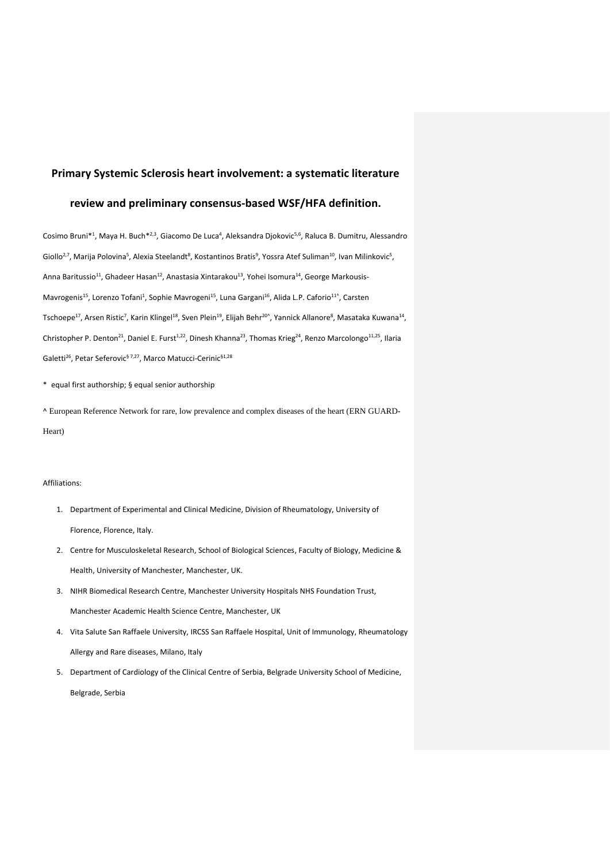# **Primary Systemic Sclerosis heart involvement: a systematic literature**

## **review and preliminary consensus-based WSF/HFA definition.**

Cosimo Bruni\*<sup>1</sup>, Maya H. Buch<sup>\*2,3</sup>, Giacomo De Luca<sup>4</sup>, Aleksandra Djokovic<sup>5,6</sup>, Raluca B. Dumitru, Alessandro Giollo<sup>2,7</sup>, Marija Polovina<sup>5</sup>, Alexia Steelandt<sup>8</sup>, Kostantinos Bratis<sup>9</sup>, Yossra Atef Suliman<sup>10</sup>, Ivan Milinkovic<sup>5</sup>, Anna Baritussio<sup>11</sup>, Ghadeer Hasan<sup>12</sup>, Anastasia Xintarakou<sup>13</sup>, Yohei Isomura<sup>14</sup>, George Markousis-Mavrogenis<sup>15</sup>, Lorenzo Tofani<sup>1</sup>, Sophie Mavrogeni<sup>15</sup>, Luna Gargani<sup>16</sup>, Alida L.P. Caforio<sup>11^</sup>, Carsten Tschoepe<sup>17</sup>, Arsen Ristic<sup>7</sup>, Karin Klingel<sup>18</sup>, Sven Plein<sup>19</sup>, Elijah Behr<sup>20^</sup>, Yannick Allanore<sup>8</sup>, Masataka Kuwana<sup>14</sup>, Christopher P. Denton<sup>21</sup>, Daniel E. Furst<sup>1,22</sup>, Dinesh Khanna<sup>23</sup>, Thomas Krieg<sup>24</sup>, Renzo Marcolongo<sup>11,25</sup>, Ilaria Galetti<sup>26</sup>, Petar Seferovic<sup>§ 7,27</sup>, Marco Matucci-Cerinic<sup>§1,28</sup>

\*\_equal first authorship; § equal senior authorship

^ European Reference Network for rare, low prevalence and complex diseases of the heart (ERN GUARD-Heart)

## Affiliations:

- 1. Department of Experimental and Clinical Medicine, Division of Rheumatology, University of Florence, Florence, Italy.
- 2. Centre for Musculoskeletal Research, School of Biological Sciences, Faculty of Biology, Medicine & Health, University of Manchester, Manchester, UK.
- 3. NIHR Biomedical Research Centre, Manchester University Hospitals NHS Foundation Trust, Manchester Academic Health Science Centre, Manchester, UK
- 4. Vita Salute San Raffaele University, IRCSS San Raffaele Hospital, Unit of Immunology, Rheumatology Allergy and Rare diseases, Milano, Italy
- 5. Department of Cardiology of the Clinical Centre of Serbia, Belgrade University School of Medicine, Belgrade, Serbia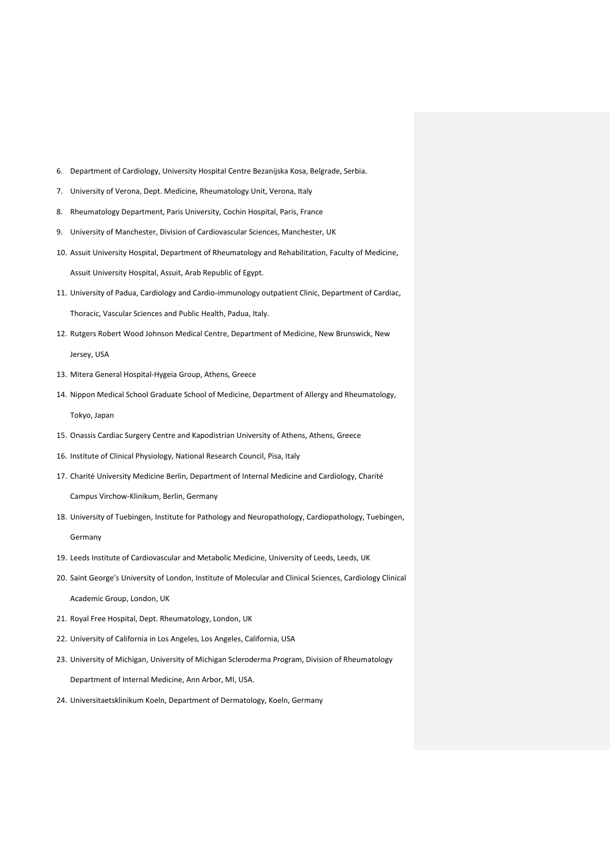- 6. Department of Cardiology, University Hospital Centre Bezanijska Kosa, Belgrade, Serbia.
- 7. University of Verona, Dept. Medicine, Rheumatology Unit, Verona, Italy
- 8. Rheumatology Department, Paris University, Cochin Hospital, Paris, France
- 9. University of Manchester, Division of Cardiovascular Sciences, Manchester, UK
- 10. Assuit University Hospital, Department of Rheumatology and Rehabilitation, Faculty of Medicine, Assuit University Hospital, Assuit, Arab Republic of Egypt.
- 11. University of Padua, Cardiology and Cardio-immunology outpatient Clinic, Department of Cardiac, Thoracic, Vascular Sciences and Public Health, Padua, Italy.
- 12. Rutgers Robert Wood Johnson Medical Centre, Department of Medicine, New Brunswick, New Jersey, USA
- 13. Mitera General Hospital-Hygeia Group, Athens, Greece
- 14. Nippon Medical School Graduate School of Medicine, Department of Allergy and Rheumatology, Tokyo, Japan
- 15. Onassis Cardiac Surgery Centre and Kapodistrian University of Athens, Athens, Greece
- 16. Institute of Clinical Physiology, National Research Council, Pisa, Italy
- 17. Charité University Medicine Berlin, Department of Internal Medicine and Cardiology, Charité

Campus Virchow-Klinikum, Berlin, Germany

- 18. University of Tuebingen, Institute for Pathology and Neuropathology, Cardiopathology, Tuebingen, Germany
- 19. Leeds Institute of Cardiovascular and Metabolic Medicine, University of Leeds, Leeds, UK
- 20. Saint George's University of London, Institute of Molecular and Clinical Sciences, Cardiology Clinical Academic Group, London, UK
- 21. Royal Free Hospital, Dept. Rheumatology, London, UK
- 22. University of California in Los Angeles, Los Angeles, California, USA
- 23. University of Michigan, University of Michigan Scleroderma Program, Division of Rheumatology Department of Internal Medicine, Ann Arbor, MI, USA.
- 24. Universitaetsklinikum Koeln, Department of Dermatology, Koeln, Germany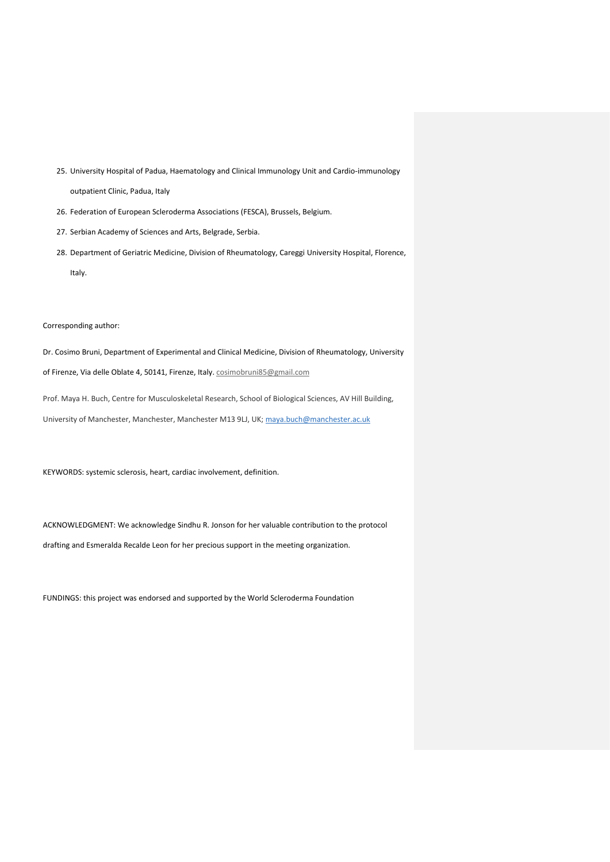- 25. University Hospital of Padua, Haematology and Clinical Immunology Unit and Cardio-immunology outpatient Clinic, Padua, Italy
- 26. Federation of European Scleroderma Associations (FESCA), Brussels, Belgium.
- 27. Serbian Academy of Sciences and Arts, Belgrade, Serbia.
- 28. Department of Geriatric Medicine, Division of Rheumatology, Careggi University Hospital, Florence, Italy.

## Corresponding author:

Dr. Cosimo Bruni, Department of Experimental and Clinical Medicine, Division of Rheumatology, University of Firenze, Via delle Oblate 4, 50141, Firenze, Italy. [cosimobruni85@gmail.com](mailto:cosimobruni85@gmail.com)

Prof. Maya H. Buch, Centre for Musculoskeletal Research, School of Biological Sciences, AV Hill Building, University of Manchester, Manchester, Manchester M13 9LJ, UK; [maya.buch@manchester.ac.uk](mailto:maya.buch@manchester.ac.uk)

KEYWORDS: systemic sclerosis, heart, cardiac involvement, definition.

ACKNOWLEDGMENT: We acknowledge Sindhu R. Jonson for her valuable contribution to the protocol drafting and Esmeralda Recalde Leon for her precious support in the meeting organization.

FUNDINGS: this project was endorsed and supported by the World Scleroderma Foundation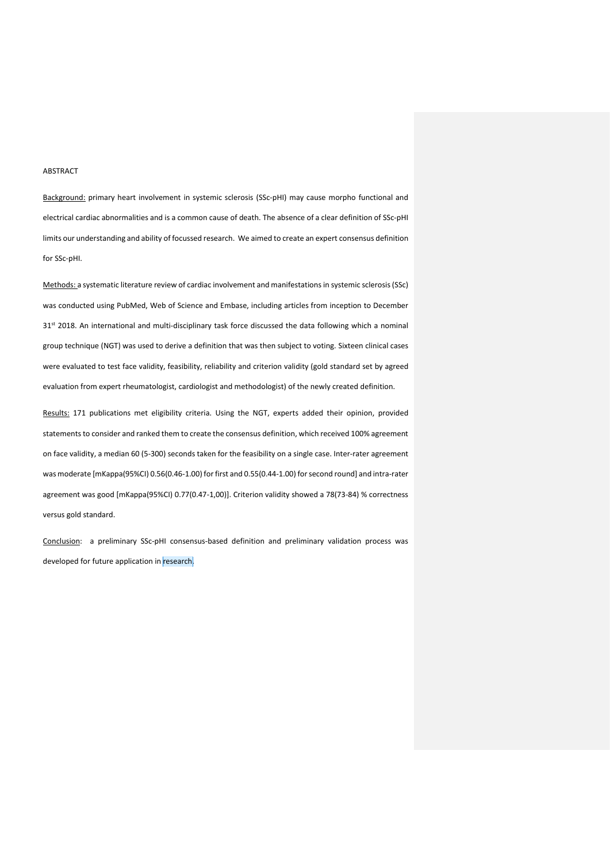#### **ABSTRACT**

Background: primary heart involvement in systemic sclerosis (SSc-pHI) may cause morpho functional and electrical cardiac abnormalities and is a common cause of death. The absence of a clear definition of SSc-pHI limits our understanding and ability of focussed research. We aimed to create an expert consensus definition for SSc-pHI.

Methods: a systematic literature review of cardiac involvement and manifestations in systemic sclerosis (SSc) was conducted using PubMed, Web of Science and Embase, including articles from inception to December 31st 2018. An international and multi-disciplinary task force discussed the data following which a nominal group technique (NGT) was used to derive a definition that was then subject to voting. Sixteen clinical cases were evaluated to test face validity, feasibility, reliability and criterion validity (gold standard set by agreed evaluation from expert rheumatologist, cardiologist and methodologist) of the newly created definition.

Results: 171 publications met eligibility criteria. Using the NGT, experts added their opinion, provided statements to consider and ranked them to create the consensus definition, which received 100% agreement on face validity, a median 60 (5-300) seconds taken for the feasibility on a single case. Inter-rater agreement was moderate [mKappa(95%CI) 0.56(0.46-1.00) for first and 0.55(0.44-1.00) for second round] and intra-rater agreement was good [mKappa(95%CI) 0.77(0.47-1,00)]. Criterion validity showed a 78(73-84) % correctness versus gold standard.

Conclusion: a preliminary SSc-pHI consensus-based definition and preliminary validation process was developed for future application in research.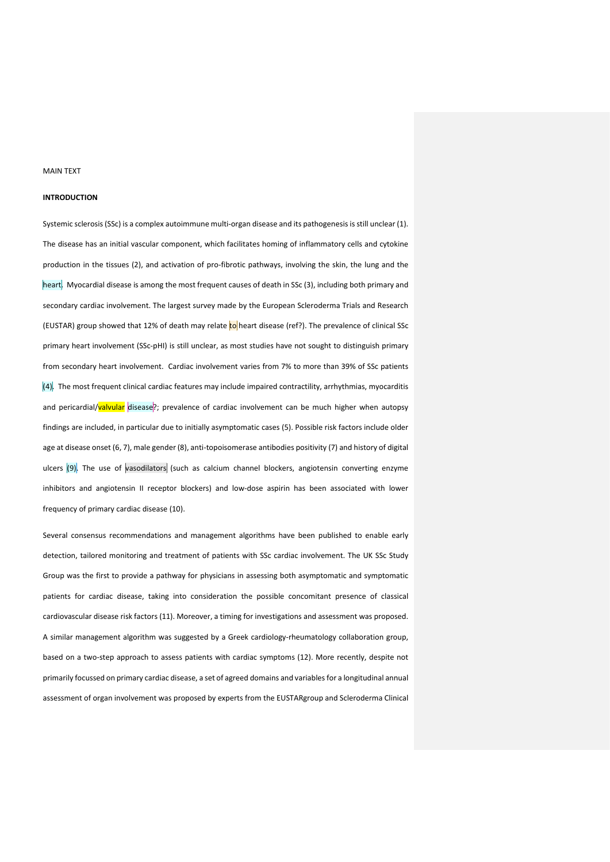#### MAIN TEXT

#### **INTRODUCTION**

Systemic sclerosis (SSc) is a complex autoimmune multi-organ disease and its pathogenesis is still unclear (1). The disease has an initial vascular component, which facilitates homing of inflammatory cells and cytokine production in the tissues (2), and activation of pro-fibrotic pathways, involving the skin, the lung and the heart. Myocardial disease is among the most frequent causes of death in SSc (3), including both primary and secondary cardiac involvement. The largest survey made by the European Scleroderma Trials and Research (EUSTAR) group showed that 12% of death may relate to heart disease (ref?). The prevalence of clinical SSc primary heart involvement (SSc-pHI) is still unclear, as most studies have not sought to distinguish primary from secondary heart involvement. Cardiac involvement varies from 7% to more than 39% of SSc patients  $(4)$ . The most frequent clinical cardiac features may include impaired contractility, arrhythmias, myocarditis and pericardial/valvular disease?; prevalence of cardiac involvement can be much higher when autopsy findings are included, in particular due to initially asymptomatic cases (5). Possible risk factors include older age at disease onset (6, 7), male gender (8), anti-topoisomerase antibodies positivity (7) and history of digital ulcers  $(9)$ . The use of vasodilators (such as calcium channel blockers, angiotensin converting enzyme inhibitors and angiotensin II receptor blockers) and low-dose aspirin has been associated with lower frequency of primary cardiac disease (10).

Several consensus recommendations and management algorithms have been published to enable early detection, tailored monitoring and treatment of patients with SSc cardiac involvement. The UK SSc Study Group was the first to provide a pathway for physicians in assessing both asymptomatic and symptomatic patients for cardiac disease, taking into consideration the possible concomitant presence of classical cardiovascular disease risk factors (11). Moreover, a timing for investigations and assessment was proposed. A similar management algorithm was suggested by a Greek cardiology-rheumatology collaboration group, based on a two-step approach to assess patients with cardiac symptoms (12). More recently, despite not primarily focussed on primary cardiac disease, a set of agreed domains and variables for a longitudinal annual assessment of organ involvement was proposed by experts from the EUSTARgroup and Scleroderma Clinical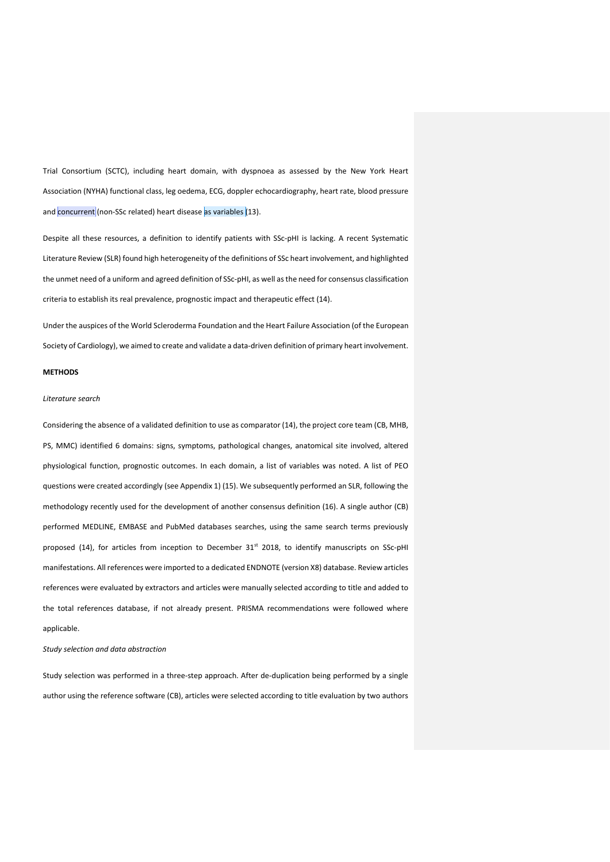Trial Consortium (SCTC), including heart domain, with dyspnoea as assessed by the New York Heart Association (NYHA) functional class, leg oedema, ECG, doppler echocardiography, heart rate, blood pressure and concurrent (non-SSc related) heart disease as variables (13).

Despite all these resources, a definition to identify patients with SSc-pHI is lacking. A recent Systematic Literature Review (SLR) found high heterogeneity of the definitions of SSc heart involvement, and highlighted the unmet need of a uniform and agreed definition of SSc-pHI, as well as the need for consensus classification criteria to establish its real prevalence, prognostic impact and therapeutic effect (14).

Under the auspices of the World Scleroderma Foundation and the Heart Failure Association (of the European Society of Cardiology), we aimed to create and validate a data-driven definition of primary heart involvement.

## **METHODS**

## *Literature search*

Considering the absence of a validated definition to use as comparator (14), the project core team (CB, MHB, PS, MMC) identified 6 domains: signs, symptoms, pathological changes, anatomical site involved, altered physiological function, prognostic outcomes. In each domain, a list of variables was noted. A list of PEO questions were created accordingly (see Appendix 1) (15). We subsequently performed an SLR, following the methodology recently used for the development of another consensus definition (16). A single author (CB) performed MEDLINE, EMBASE and PubMed databases searches, using the same search terms previously proposed (14), for articles from inception to December 31<sup>st</sup> 2018, to identify manuscripts on SSc-pHI manifestations. All references were imported to a dedicated ENDNOTE (version X8) database. Review articles references were evaluated by extractors and articles were manually selected according to title and added to the total references database, if not already present. PRISMA recommendations were followed where applicable.

*Study selection and data abstraction*

Study selection was performed in a three-step approach. After de-duplication being performed by a single author using the reference software (CB), articles were selected according to title evaluation by two authors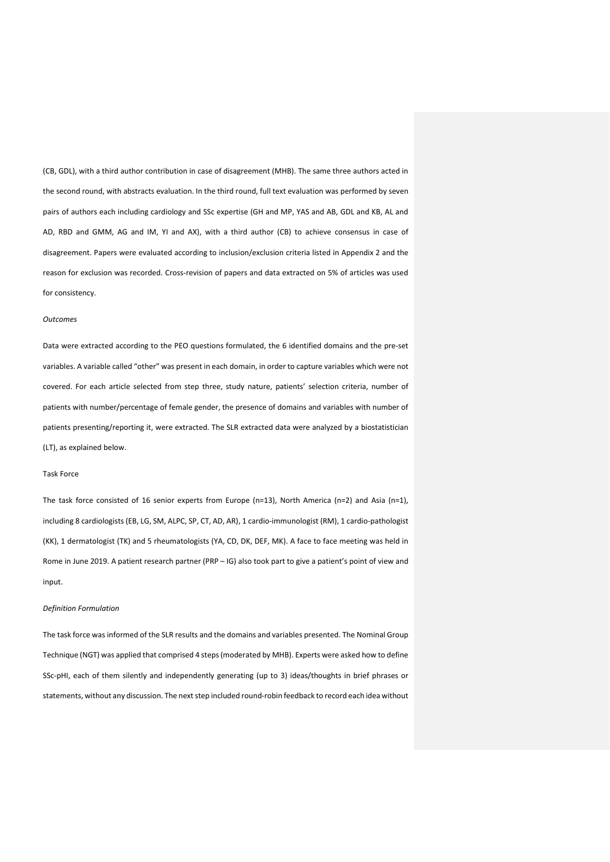(CB, GDL), with a third author contribution in case of disagreement (MHB). The same three authors acted in the second round, with abstracts evaluation. In the third round, full text evaluation was performed by seven pairs of authors each including cardiology and SSc expertise (GH and MP, YAS and AB, GDL and KB, AL and AD, RBD and GMM, AG and IM, YI and AX), with a third author (CB) to achieve consensus in case of disagreement. Papers were evaluated according to inclusion/exclusion criteria listed in Appendix 2 and the reason for exclusion was recorded. Cross-revision of papers and data extracted on 5% of articles was used for consistency.

## *Outcomes*

Data were extracted according to the PEO questions formulated, the 6 identified domains and the pre-set variables. A variable called "other" was present in each domain, in order to capture variables which were not covered. For each article selected from step three, study nature, patients' selection criteria, number of patients with number/percentage of female gender, the presence of domains and variables with number of patients presenting/reporting it, were extracted. The SLR extracted data were analyzed by a biostatistician (LT), as explained below.

## Task Force

The task force consisted of 16 senior experts from Europe (n=13), North America (n=2) and Asia (n=1), including 8 cardiologists (EB, LG, SM, ALPC, SP, CT, AD, AR), 1 cardio-immunologist (RM), 1 cardio-pathologist (KK), 1 dermatologist (TK) and 5 rheumatologists (YA, CD, DK, DEF, MK). A face to face meeting was held in Rome in June 2019. A patient research partner (PRP – IG) also took part to give a patient's point of view and input.

#### *Definition Formulation*

The task force was informed of the SLR results and the domains and variables presented. The Nominal Group Technique (NGT) was applied that comprised 4 steps(moderated by MHB). Experts were asked how to define SSc-pHI, each of them silently and independently generating (up to 3) ideas/thoughts in brief phrases or statements, without any discussion. The next step included round-robin feedback to record each idea without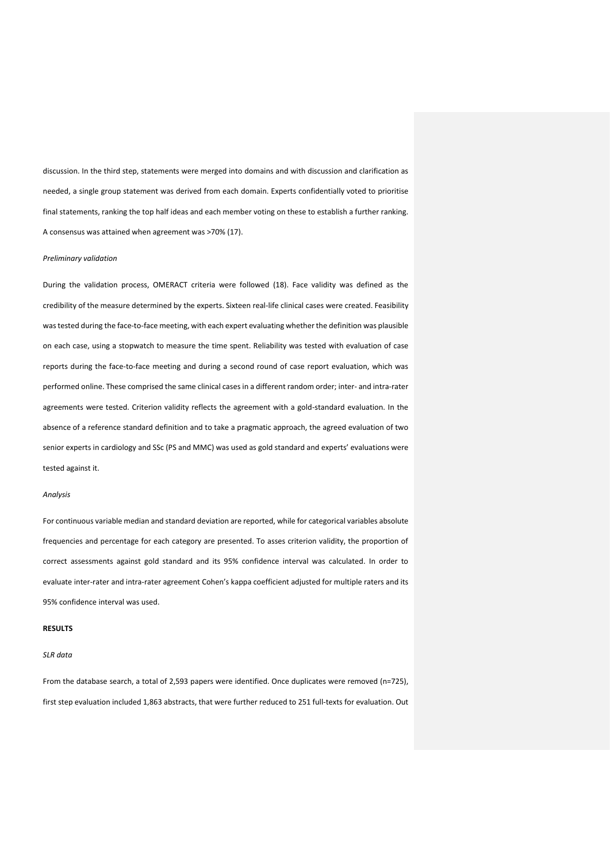discussion. In the third step, statements were merged into domains and with discussion and clarification as needed, a single group statement was derived from each domain. Experts confidentially voted to prioritise final statements, ranking the top half ideas and each member voting on these to establish a further ranking. A consensus was attained when agreement was >70% (17).

### *Preliminary validation*

During the validation process, OMERACT criteria were followed (18). Face validity was defined as the credibility of the measure determined by the experts. Sixteen real-life clinical cases were created. Feasibility was tested during the face-to-face meeting, with each expert evaluating whether the definition was plausible on each case, using a stopwatch to measure the time spent. Reliability was tested with evaluation of case reports during the face-to-face meeting and during a second round of case report evaluation, which was performed online. These comprised the same clinical cases in a different random order; inter- and intra-rater agreements were tested. Criterion validity reflects the agreement with a gold-standard evaluation. In the absence of a reference standard definition and to take a pragmatic approach, the agreed evaluation of two senior experts in cardiology and SSc (PS and MMC) was used as gold standard and experts' evaluations were tested against it.

#### *Analysis*

For continuous variable median and standard deviation are reported, while for categorical variables absolute frequencies and percentage for each category are presented. To asses criterion validity, the proportion of correct assessments against gold standard and its 95% confidence interval was calculated. In order to evaluate inter-rater and intra-rater agreement Cohen's kappa coefficient adjusted for multiple raters and its 95% confidence interval was used.

#### **RESULTS**

## *SLR data*

From the database search, a total of 2,593 papers were identified. Once duplicates were removed (n=725), first step evaluation included 1,863 abstracts, that were further reduced to 251 full-texts for evaluation. Out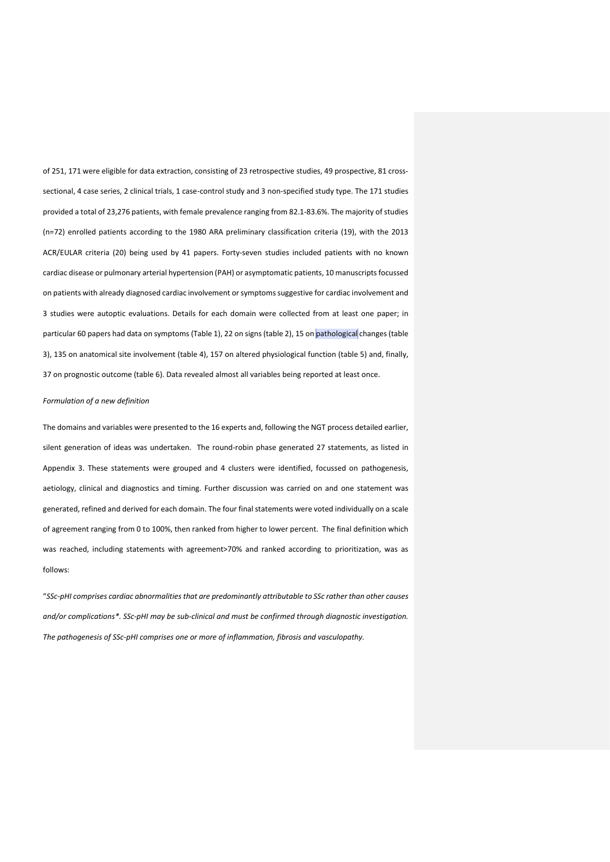of 251, 171 were eligible for data extraction, consisting of 23 retrospective studies, 49 prospective, 81 crosssectional, 4 case series, 2 clinical trials, 1 case-control study and 3 non-specified study type. The 171 studies provided a total of 23,276 patients, with female prevalence ranging from 82.1-83.6%. The majority of studies (n=72) enrolled patients according to the 1980 ARA preliminary classification criteria (19), with the 2013 ACR/EULAR criteria (20) being used by 41 papers. Forty-seven studies included patients with no known cardiac disease or pulmonary arterial hypertension (PAH) or asymptomatic patients, 10 manuscripts focussed on patients with already diagnosed cardiac involvement or symptoms suggestive for cardiac involvement and 3 studies were autoptic evaluations. Details for each domain were collected from at least one paper; in particular 60 papers had data on symptoms (Table 1), 22 on signs (table 2), 15 on pathological changes (table 3), 135 on anatomical site involvement (table 4), 157 on altered physiological function (table 5) and, finally, 37 on prognostic outcome (table 6). Data revealed almost all variables being reported at least once.

## *Formulation of a new definition*

The domains and variables were presented to the 16 experts and, following the NGT process detailed earlier, silent generation of ideas was undertaken. The round-robin phase generated 27 statements, as listed in Appendix 3. These statements were grouped and 4 clusters were identified, focussed on pathogenesis, aetiology, clinical and diagnostics and timing. Further discussion was carried on and one statement was generated, refined and derived for each domain. The four final statements were voted individually on a scale of agreement ranging from 0 to 100%, then ranked from higher to lower percent. The final definition which was reached, including statements with agreement>70% and ranked according to prioritization, was as follows:

"*SSc-pHI comprises cardiac abnormalities that are predominantly attributable to SSc rather than other causes and/or complications\*. SSc-pHI may be sub-clinical and must be confirmed through diagnostic investigation. The pathogenesis of SSc-pHI comprises one or more of inflammation, fibrosis and vasculopathy.*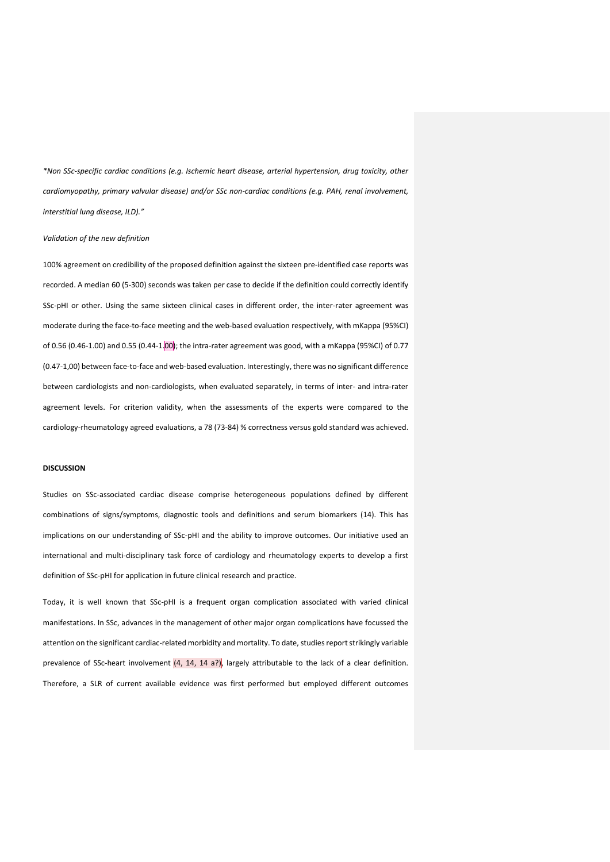*\*Non SSc-specific cardiac conditions (e.g. Ischemic heart disease, arterial hypertension, drug toxicity, other cardiomyopathy, primary valvular disease) and/or SSc non-cardiac conditions (e.g. PAH, renal involvement, interstitial lung disease, ILD)."*

#### *Validation of the new definition*

100% agreement on credibility of the proposed definition against the sixteen pre-identified case reports was recorded. A median 60 (5-300) seconds was taken per case to decide if the definition could correctly identify SSc-pHI or other. Using the same sixteen clinical cases in different order, the inter-rater agreement was moderate during the face-to-face meeting and the web-based evaluation respectively, with mKappa (95%CI) of 0.56 (0.46-1.00) and 0.55 (0.44-1.00); the intra-rater agreement was good, with a mKappa (95%CI) of 0.77 (0.47-1,00) between face-to-face and web-based evaluation. Interestingly, there was no significant difference between cardiologists and non-cardiologists, when evaluated separately, in terms of inter- and intra-rater agreement levels. For criterion validity, when the assessments of the experts were compared to the cardiology-rheumatology agreed evaluations, a 78 (73-84) % correctness versus gold standard was achieved.

#### **DISCUSSION**

Studies on SSc-associated cardiac disease comprise heterogeneous populations defined by different combinations of signs/symptoms, diagnostic tools and definitions and serum biomarkers (14). This has implications on our understanding of SSc-pHI and the ability to improve outcomes. Our initiative used an international and multi-disciplinary task force of cardiology and rheumatology experts to develop a first definition of SSc-pHI for application in future clinical research and practice.

Today, it is well known that SSc-pHI is a frequent organ complication associated with varied clinical manifestations. In SSc, advances in the management of other major organ complications have focussed the attention on the significant cardiac-related morbidity and mortality. To date, studies report strikingly variable prevalence of SSc-heart involvement  $(4, 14, 14, 17)$ , largely attributable to the lack of a clear definition. Therefore, a SLR of current available evidence was first performed but employed different outcomes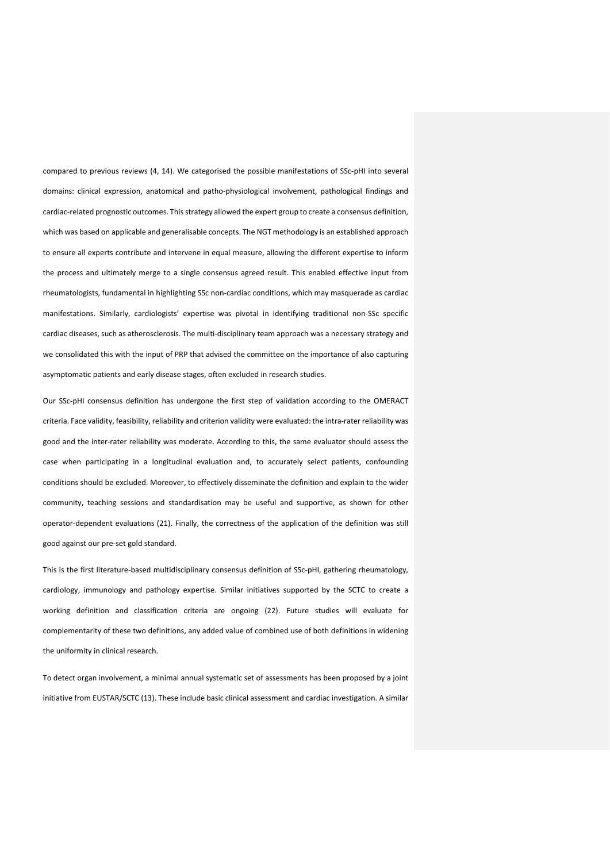compared to previous reviews (4, 14). We categorised the possible manifestations of SSc-pHI into several domains: clinical expression, anatomical and patho-physiological involvement, pathological findings and cardiac-related prognostic outcomes. This strategy allowed the expert group to create a consensus definition, which was based on applicable and generalisable concepts. The NGT methodology is an established approach to ensure all experts contribute and intervene in equal measure, allowing the different expertise to inform the process and ultimately merge to a single consensus agreed result. This enabled effective input from rheumatologists, fundamental in highlighting SSc non-cardiac conditions, which may masquerade as cardiac manifestations. Similarly, cardiologists' expertise was pivotal in identifying traditional non-SSc specific cardiac diseases, such as atherosclerosis. The multi-disciplinary team approach was a necessary strategy and we consolidated this with the input of PRP that advised the committee on the importance of also capturing asymptomatic patients and early disease stages, often excluded in research studies.

Our SSc-pHI consensus definition has undergone the first step of validation according to the OMERACT criteria. Face validity, feasibility, reliability and criterion validity were evaluated: the intra-rater reliability was good and the inter-rater reliability was moderate. According to this, the same evaluator should assess the case when participating in a longitudinal evaluation and, to accurately select patients, confounding conditions should be excluded. Moreover, to effectively disseminate the definition and explain to the wider community, teaching sessions and standardisation may be useful and supportive, as shown for other operator-dependent evaluations (21). Finally, the correctness of the application of the definition was still good against our pre-set gold standard.

This is the first literature-based multidisciplinary consensus definition of SSc-pHI, gathering rheumatology, cardiology, immunology and pathology expertise. Similar initiatives supported by the SCTC to create a working definition and classification criteria are ongoing (22). Future studies will evaluate for complementarity of these two definitions, any added value of combined use of both definitions in widening the uniformity in clinical research.

To detect organ involvement, a minimal annual systematic set of assessments has been proposed by a joint initiative from EUSTAR/SCTC (13). These include basic clinical assessment and cardiac investigation. A similar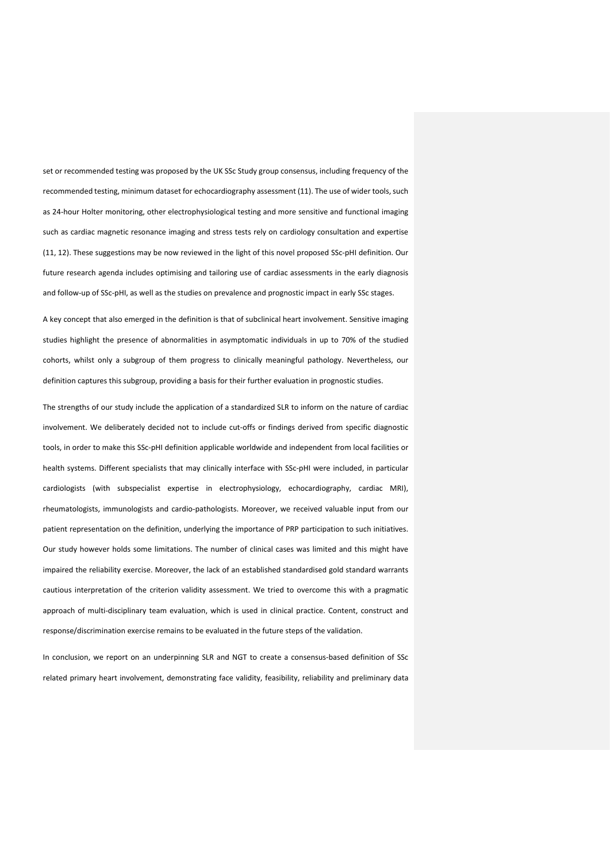set or recommended testing was proposed by the UK SSc Study group consensus, including frequency of the recommended testing, minimum dataset for echocardiography assessment (11). The use of wider tools, such as 24-hour Holter monitoring, other electrophysiological testing and more sensitive and functional imaging such as cardiac magnetic resonance imaging and stress tests rely on cardiology consultation and expertise (11, 12). These suggestions may be now reviewed in the light of this novel proposed SSc-pHI definition. Our future research agenda includes optimising and tailoring use of cardiac assessments in the early diagnosis and follow-up of SSc-pHI, as well as the studies on prevalence and prognostic impact in early SSc stages.

A key concept that also emerged in the definition is that of subclinical heart involvement. Sensitive imaging studies highlight the presence of abnormalities in asymptomatic individuals in up to 70% of the studied cohorts, whilst only a subgroup of them progress to clinically meaningful pathology. Nevertheless, our definition captures this subgroup, providing a basis for their further evaluation in prognostic studies.

The strengths of our study include the application of a standardized SLR to inform on the nature of cardiac involvement. We deliberately decided not to include cut-offs or findings derived from specific diagnostic tools, in order to make this SSc-pHI definition applicable worldwide and independent from local facilities or health systems. Different specialists that may clinically interface with SSc-pHI were included, in particular cardiologists (with subspecialist expertise in electrophysiology, echocardiography, cardiac MRI), rheumatologists, immunologists and cardio-pathologists. Moreover, we received valuable input from our patient representation on the definition, underlying the importance of PRP participation to such initiatives. Our study however holds some limitations. The number of clinical cases was limited and this might have impaired the reliability exercise. Moreover, the lack of an established standardised gold standard warrants cautious interpretation of the criterion validity assessment. We tried to overcome this with a pragmatic approach of multi-disciplinary team evaluation, which is used in clinical practice. Content, construct and response/discrimination exercise remains to be evaluated in the future steps of the validation.

In conclusion, we report on an underpinning SLR and NGT to create a consensus-based definition of SSc related primary heart involvement, demonstrating face validity, feasibility, reliability and preliminary data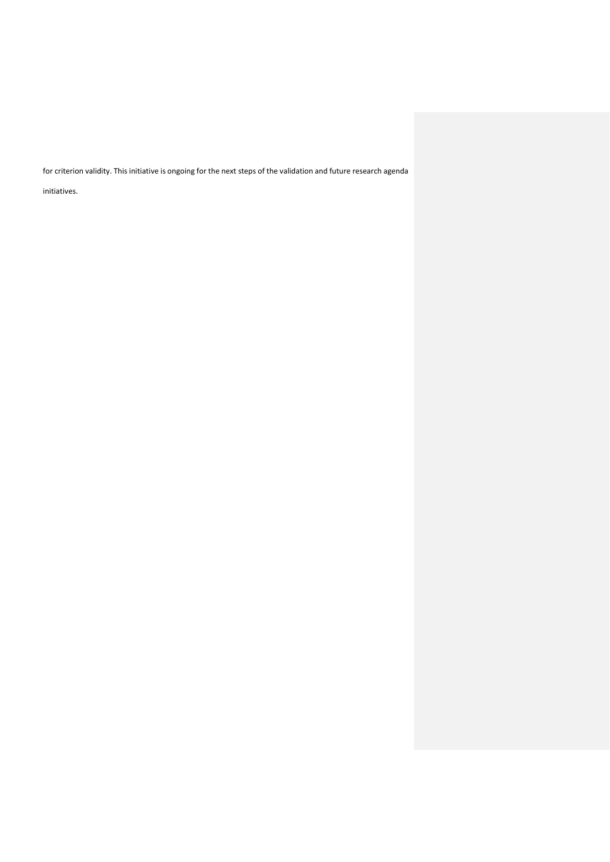for criterion validity. This initiative is ongoing for the next steps of the validation and future research agenda

initiatives.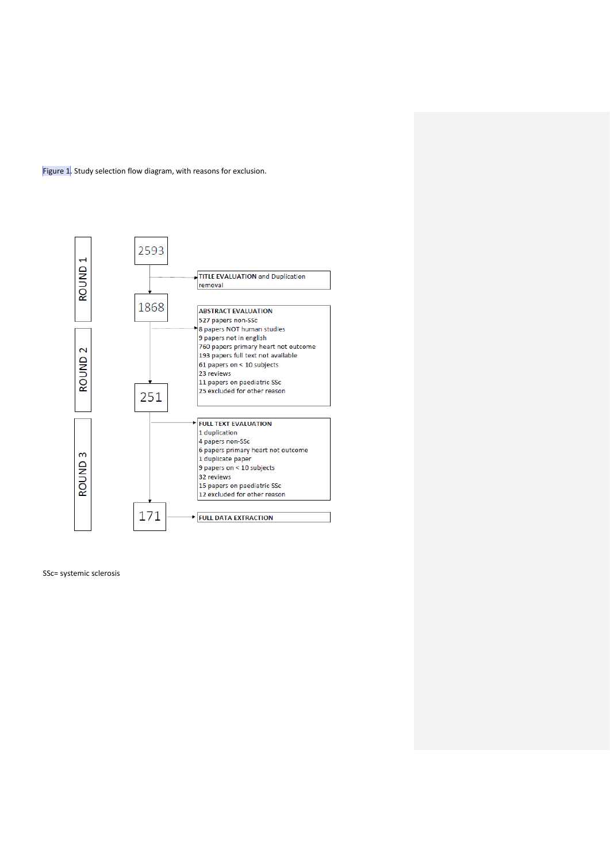



SSc= systemic sclerosis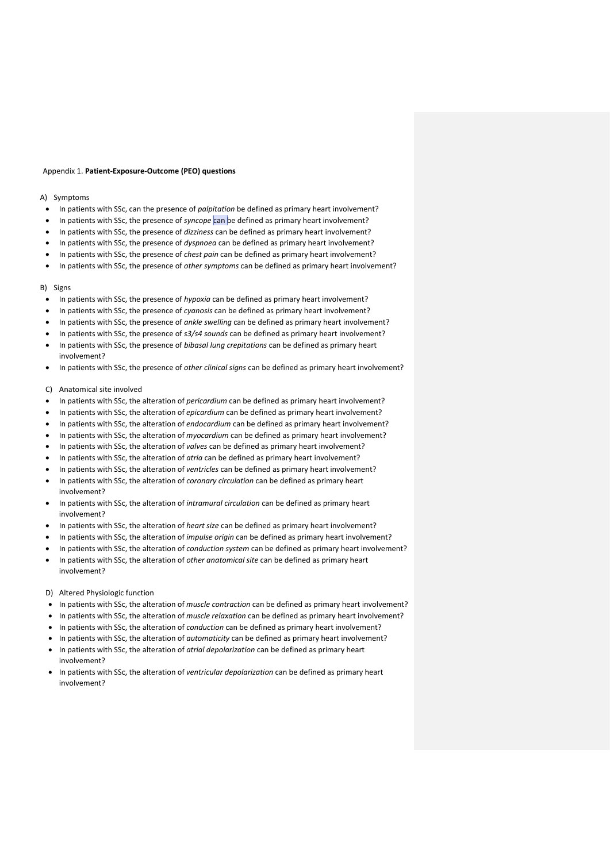#### Appendix 1. **Patient-Exposure-Outcome (PEO) questions**

## A) Symptoms

- In patients with SSc, can the presence of *palpitation* be defined as primary heart involvement?
- In patients with SSc, the presence of *syncope* can be defined as primary heart involvement?
- In patients with SSc, the presence of *dizziness* can be defined as primary heart involvement?
- In patients with SSc, the presence of *dyspnoea* can be defined as primary heart involvement?
- In patients with SSc, the presence of *chest pain* can be defined as primary heart involvement?
- In patients with SSc, the presence of *other symptoms* can be defined as primary heart involvement?

## B) Signs

- In patients with SSc, the presence of *hypoxia* can be defined as primary heart involvement?
- In patients with SSc, the presence of *cyanosis* can be defined as primary heart involvement?
- In patients with SSc, the presence of *ankle swelling* can be defined as primary heart involvement?
- In patients with SSc, the presence of *s3/s4 sounds* can be defined as primary heart involvement?
- In patients with SSc, the presence of *bibasal lung crepitations* can be defined as primary heart involvement?
- In patients with SSc, the presence of *other clinical signs* can be defined as primary heart involvement?

#### C) Anatomical site involved

- In patients with SSc, the alteration of *pericardium* can be defined as primary heart involvement?
- In patients with SSc, the alteration of *epicardium* can be defined as primary heart involvement?
- In patients with SSc, the alteration of *endocardium* can be defined as primary heart involvement?
- In patients with SSc, the alteration of *myocardium* can be defined as primary heart involvement?
- In patients with SSc, the alteration of *valves* can be defined as primary heart involvement?
- In patients with SSc, the alteration of *atria* can be defined as primary heart involvement?
- In patients with SSc, the alteration of *ventricles* can be defined as primary heart involvement?
- In patients with SSc, the alteration of *coronary circulation* can be defined as primary heart involvement?
- In patients with SSc, the alteration of *intramural circulation* can be defined as primary heart involvement?
- In patients with SSc, the alteration of *heart size* can be defined as primary heart involvement?
- In patients with SSc, the alteration of *impulse origin* can be defined as primary heart involvement?
- In patients with SSc, the alteration of *conduction system* can be defined as primary heart involvement?
- In patients with SSc, the alteration of *other anatomical site* can be defined as primary heart involvement?

#### D) Altered Physiologic function

- In patients with SSc, the alteration of *muscle contraction* can be defined as primary heart involvement?
- In patients with SSc, the alteration of *muscle relaxation* can be defined as primary heart involvement?
- In patients with SSc, the alteration of *conduction* can be defined as primary heart involvement?
- In patients with SSc, the alteration of *automaticity* can be defined as primary heart involvement?
- In patients with SSc, the alteration of *atrial depolarization* can be defined as primary heart involvement?
- In patients with SSc, the alteration of *ventricular depolarization* can be defined as primary heart involvement?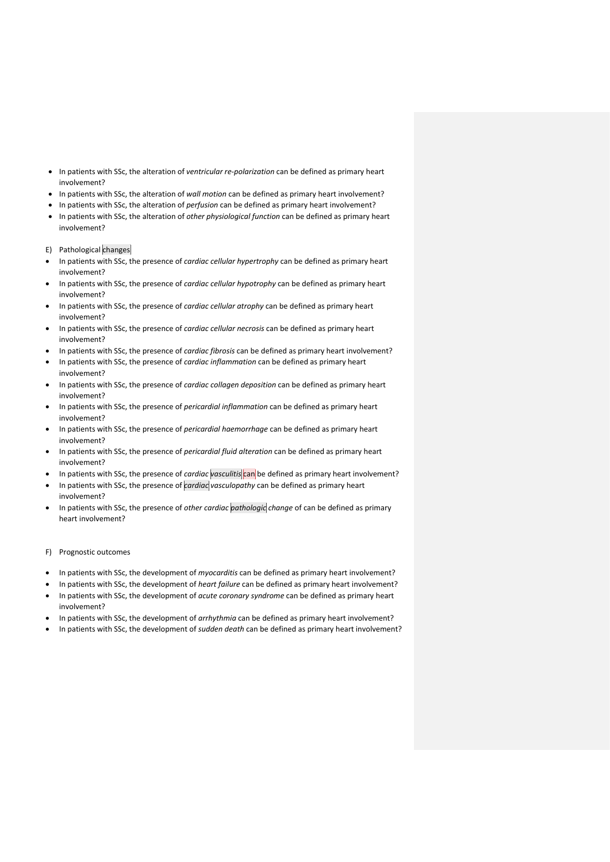- In patients with SSc, the alteration of *ventricular re-polarization* can be defined as primary heart involvement?
- In patients with SSc, the alteration of *wall motion* can be defined as primary heart involvement?
- In patients with SSc, the alteration of *perfusion* can be defined as primary heart involvement?
- In patients with SSc, the alteration of *other physiological function* can be defined as primary heart involvement?

E) Pathological changes

- In patients with SSc, the presence of *cardiac cellular hypertrophy* can be defined as primary heart involvement?
- In patients with SSc, the presence of *cardiac cellular hypotrophy* can be defined as primary heart involvement?
- In patients with SSc, the presence of *cardiac cellular atrophy* can be defined as primary heart involvement?
- In patients with SSc, the presence of *cardiac cellular necrosis* can be defined as primary heart involvement?
- In patients with SSc, the presence of *cardiac fibrosis* can be defined as primary heart involvement?
- In patients with SSc, the presence of *cardiac inflammation* can be defined as primary heart involvement?
- In patients with SSc, the presence of *cardiac collagen deposition* can be defined as primary heart involvement?
- In patients with SSc, the presence of *pericardial inflammation* can be defined as primary heart involvement?
- In patients with SSc, the presence of *pericardial haemorrhage* can be defined as primary heart involvement?
- In patients with SSc, the presence of *pericardial fluid alteration* can be defined as primary heart involvement?
- In patients with SSc, the presence of *cardiac* vasculitis can be defined as primary heart involvement?
- In patients with SSc, the presence of *cardiac vasculopathy* can be defined as primary heart involvement?
- In patients with SSc, the presence of *other cardiac pathologic change* of can be defined as primary heart involvement?

## F) Prognostic outcomes

- In patients with SSc, the development of *myocarditis* can be defined as primary heart involvement?
- In patients with SSc, the development of *heart failure* can be defined as primary heart involvement? • In patients with SSc, the development of *acute coronary syndrome* can be defined as primary heart involvement?
- In patients with SSc, the development of *arrhythmia* can be defined as primary heart involvement?
- In patients with SSc, the development of *sudden death* can be defined as primary heart involvement?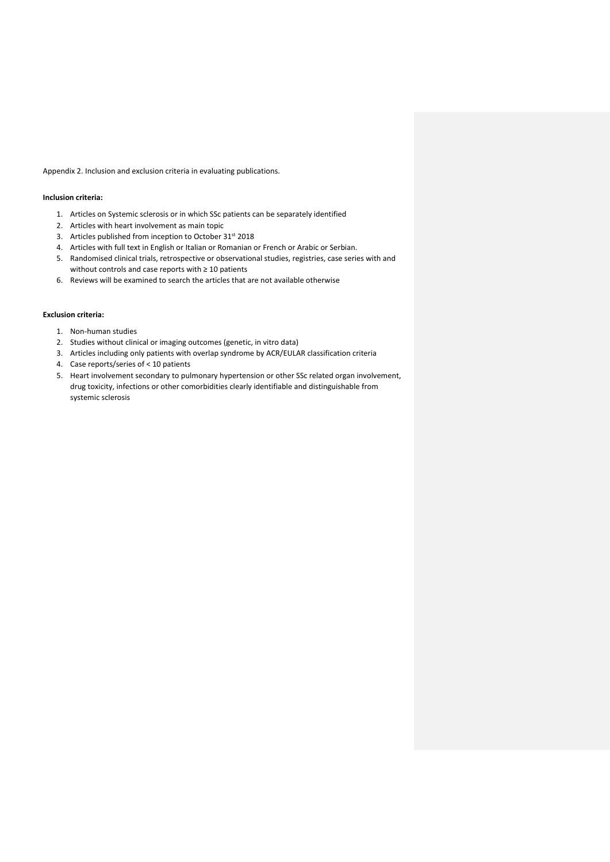Appendix 2. Inclusion and exclusion criteria in evaluating publications.

## **Inclusion criteria:**

- 1. Articles on Systemic sclerosis or in which SSc patients can be separately identified
- 2. Articles with heart involvement as main topic
- 3. Articles published from inception to October 31<sup>st</sup> 2018
- 4. Articles with full text in English or Italian or Romanian or French or Arabic or Serbian.
- 5. Randomised clinical trials, retrospective or observational studies, registries, case series with and without controls and case reports with ≥ 10 patients
- 6. Reviews will be examined to search the articles that are not available otherwise

## **Exclusion criteria:**

- 1. Non-human studies
- 2. Studies without clinical or imaging outcomes (genetic, in vitro data)
- 3. Articles including only patients with overlap syndrome by ACR/EULAR classification criteria
- 4. Case reports/series of < 10 patients
- 5. Heart involvement secondary to pulmonary hypertension or other SSc related organ involvement, drug toxicity, infections or other comorbidities clearly identifiable and distinguishable from systemic sclerosis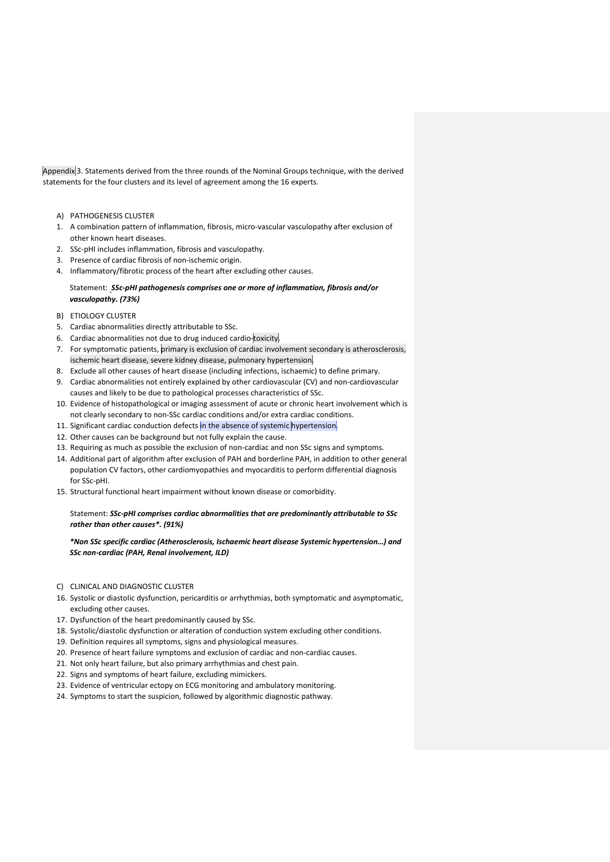Appendix 3. Statements derived from the three rounds of the Nominal Groups technique, with the derived statements for the four clusters and its level of agreement among the 16 experts.

- A) PATHOGENESIS CLUSTER
- 1. A combination pattern of inflammation, fibrosis, micro-vascular vasculopathy after exclusion of other known heart diseases.
- 2. SSc-pHI includes inflammation, fibrosis and vasculopathy.
- 3. Presence of cardiac fibrosis of non-ischemic origin.
- 4. Inflammatory/fibrotic process of the heart after excluding other causes.

## Statement: *SSc-pHI pathogenesis comprises one or more of inflammation, fibrosis and/or vasculopathy. (73%)*

- B) ETIOLOGY CLUSTER
- 5. Cardiac abnormalities directly attributable to SSc.
- 6. Cardiac abnormalities not due to drug induced cardio-toxicity.
- 7. For symptomatic patients, primary is exclusion of cardiac involvement secondary is atherosclerosis, ischemic heart disease, severe kidney disease, pulmonary hypertension.
- 8. Exclude all other causes of heart disease (including infections, ischaemic) to define primary.
- 9. Cardiac abnormalities not entirely explained by other cardiovascular (CV) and non-cardiovascular causes and likely to be due to pathological processes characteristics of SSc.
- 10. Evidence of histopathological or imaging assessment of acute or chronic heart involvement which is not clearly secondary to non-SSc cardiac conditions and/or extra cardiac conditions.
- 11. Significant cardiac conduction defects in the absence of systemic hypertension.
- 12. Other causes can be background but not fully explain the cause.
- 13. Requiring as much as possible the exclusion of non-cardiac and non SSc signs and symptoms.
- 14. Additional part of algorithm after exclusion of PAH and borderline PAH, in addition to other general population CV factors, other cardiomyopathies and myocarditis to perform differential diagnosis for SSc-pHI.
- 15. Structural functional heart impairment without known disease or comorbidity.

Statement: *SSc-pHI comprises cardiac abnormalities that are predominantly attributable to SSc rather than other causes\*. (91%)*

*\*Non SSc specific cardiac (Atherosclerosis, Ischaemic heart disease Systemic hypertension…) and SSc non-cardiac (PAH, Renal involvement, ILD)*

- C) CLINICAL AND DIAGNOSTIC CLUSTER
- 16. Systolic or diastolic dysfunction, pericarditis or arrhythmias, both symptomatic and asymptomatic, excluding other causes.
- 17. Dysfunction of the heart predominantly caused by SSc.
- 18. Systolic/diastolic dysfunction or alteration of conduction system excluding other conditions.
- 19. Definition requires all symptoms, signs and physiological measures.
- 20. Presence of heart failure symptoms and exclusion of cardiac and non-cardiac causes.
- 21. Not only heart failure, but also primary arrhythmias and chest pain.
- 22. Signs and symptoms of heart failure, excluding mimickers.
- 23. Evidence of ventricular ectopy on ECG monitoring and ambulatory monitoring.
- 24. Symptoms to start the suspicion, followed by algorithmic diagnostic pathway.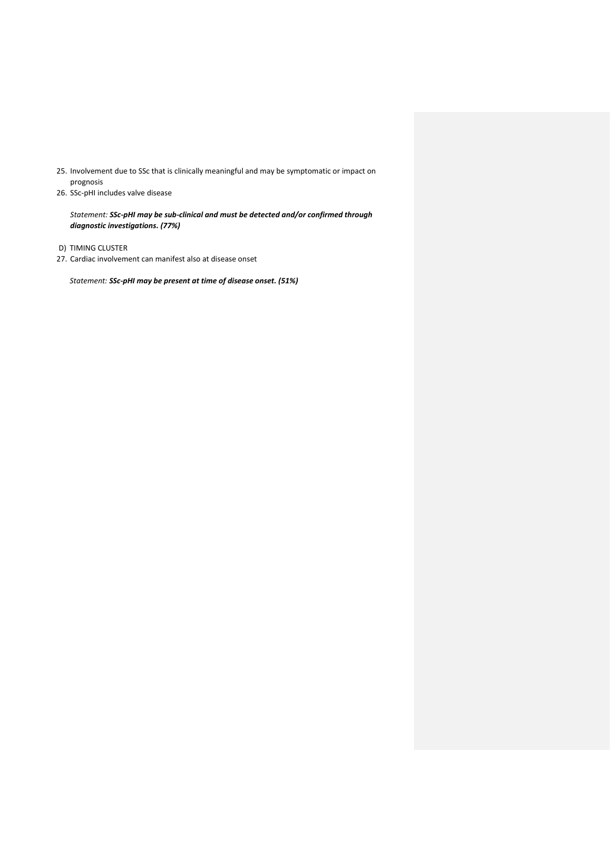- 25. Involvement due to SSc that is clinically meaningful and may be symptomatic or impact on prognosis
- 26. SSc-pHI includes valve disease

*Statement: SSc-pHI may be sub-clinical and must be detected and/or confirmed through diagnostic investigations. (77%)*

- D) TIMING CLUSTER
- 27. Cardiac involvement can manifest also at disease onset

*Statement: SSc-pHI may be present at time of disease onset. (51%)*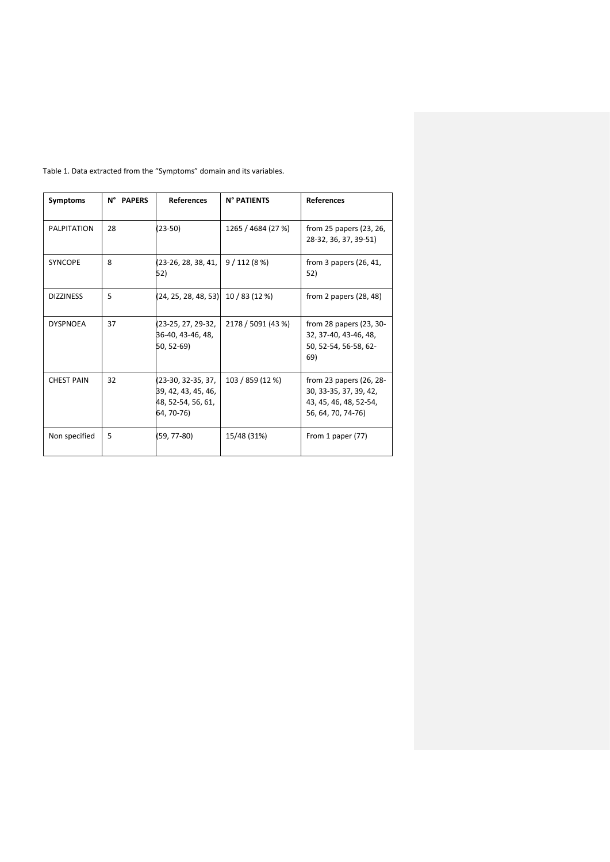| Symptoms          | N° PAPERS | <b>References</b>                                                             | N° PATIENTS        | <b>References</b>                                                                                 |
|-------------------|-----------|-------------------------------------------------------------------------------|--------------------|---------------------------------------------------------------------------------------------------|
| PALPITATION       | 28        | $(23-50)$                                                                     | 1265 / 4684 (27 %) | from 25 papers (23, 26,<br>28-32, 36, 37, 39-51)                                                  |
| <b>SYNCOPE</b>    | 8         | (23-26, 28, 38, 41,<br>52)                                                    | 9/112(8%)          | from 3 papers $(26, 41,$<br>52)                                                                   |
| <b>DIZZINESS</b>  | 5         | $(24, 25, 28, 48, 53)$ 10 / 83 (12 %)                                         |                    | from 2 papers $(28, 48)$                                                                          |
| <b>DYSPNOEA</b>   | 37        | (23-25, 27, 29-32,<br>36-40, 43-46, 48,<br>50, 52-69)                         | 2178 / 5091 (43 %) | from 28 papers (23, 30-<br>32.37-40.43-46.48.<br>50, 52-54, 56-58, 62-<br>69)                     |
| <b>CHEST PAIN</b> | 32        | (23-30, 32-35, 37,<br>39, 42, 43, 45, 46,<br>48, 52-54, 56, 61,<br>64, 70-76) | 103 / 859 (12 %)   | from 23 papers (26, 28-<br>30, 33-35, 37, 39, 42,<br>43, 45, 46, 48, 52-54,<br>56, 64, 70, 74-76) |
| Non specified     | 5         | (59, 77-80)                                                                   | 15/48 (31%)        | From 1 paper $(77)$                                                                               |

Table 1. Data extracted from the "Symptoms" domain and its variables.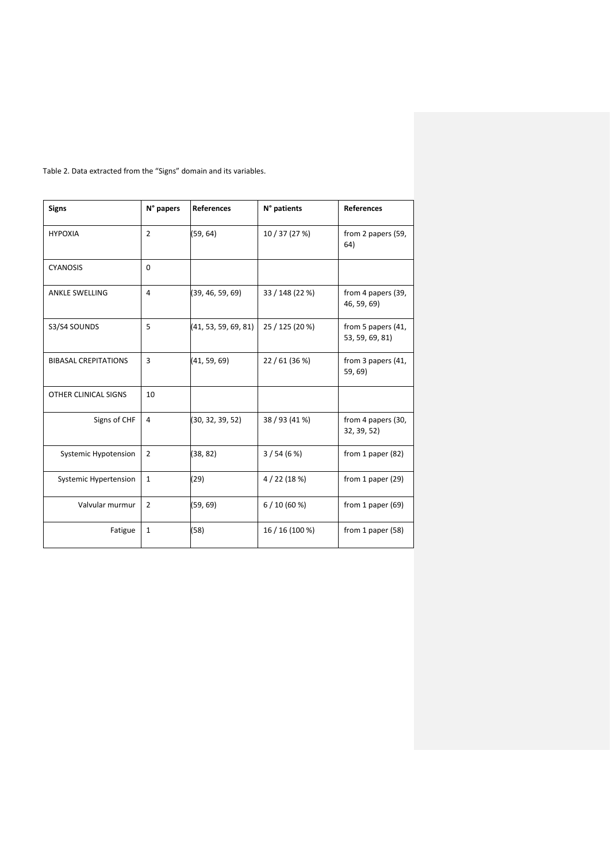| <b>Signs</b>                | N° papers      | <b>References</b>    | N° patients     | <b>References</b>                     |
|-----------------------------|----------------|----------------------|-----------------|---------------------------------------|
| <b>HYPOXIA</b>              | $\overline{2}$ | (59, 64)             | 10 / 37 (27 %)  | from 2 papers (59,<br>64)             |
| <b>CYANOSIS</b>             | $\Omega$       |                      |                 |                                       |
| <b>ANKLE SWELLING</b>       | 4              | (39, 46, 59, 69)     | 33 / 148 (22 %) | from 4 papers (39,<br>46, 59, 69)     |
| S3/S4 SOUNDS                | 5              | (41, 53, 59, 69, 81) | 25 / 125 (20 %) | from 5 papers (41,<br>53, 59, 69, 81) |
| <b>BIBASAL CREPITATIONS</b> | 3              | (41, 59, 69)         | 22 / 61 (36 %)  | from 3 papers (41,<br>59,69)          |
| OTHER CLINICAL SIGNS        | 10             |                      |                 |                                       |
| Signs of CHF                | 4              | (30, 32, 39, 52)     | 38 / 93 (41 %)  | from 4 papers (30,<br>32, 39, 52)     |
| Systemic Hypotension        | $\overline{2}$ | (38, 82)             | 3/54(6%)        | from 1 paper $(82)$                   |
| Systemic Hypertension       | $\mathbf{1}$   | (29)                 | 4/22(18%)       | from 1 paper $(29)$                   |
| Valvular murmur             | $\overline{2}$ | (59, 69)             | 6/10(60%)       | from 1 paper $(69)$                   |
| Fatigue                     | $\mathbf{1}$   | (58)                 | 16 / 16 (100 %) | from 1 paper (58)                     |

Table 2. Data extracted from the "Signs" domain and its variables.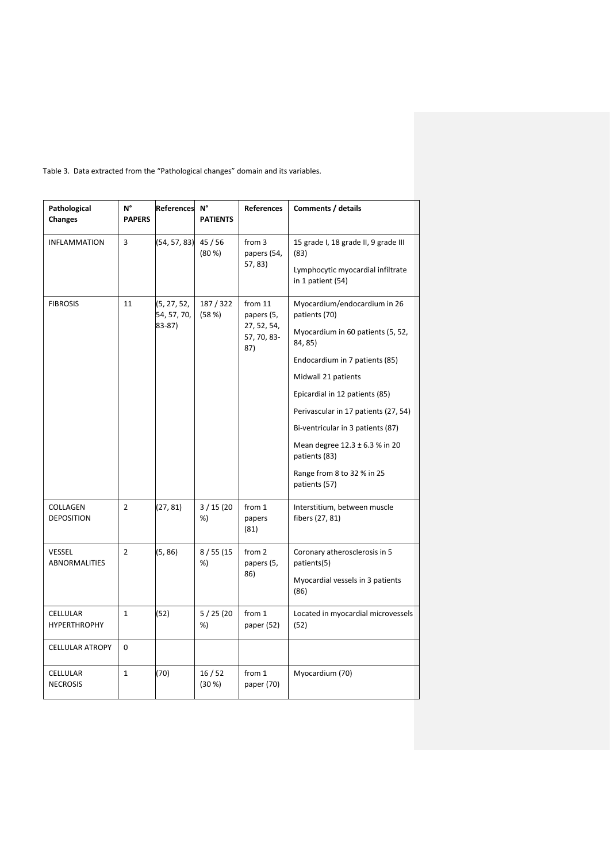| Pathological<br><b>Changes</b>         | N°<br><b>PAPERS</b> | References                           | N°<br><b>PATIENTS</b> | <b>References</b>                                          | Comments / details                                                                                                                                                                                                                                                                                                                                                      |
|----------------------------------------|---------------------|--------------------------------------|-----------------------|------------------------------------------------------------|-------------------------------------------------------------------------------------------------------------------------------------------------------------------------------------------------------------------------------------------------------------------------------------------------------------------------------------------------------------------------|
| <b>INFLAMMATION</b>                    | 3                   | (54, 57, 83)                         | 45/56<br>(80 %)       | from 3<br>papers (54,<br>57, 83)                           | 15 grade I, 18 grade II, 9 grade III<br>(83)<br>Lymphocytic myocardial infiltrate<br>in 1 patient (54)                                                                                                                                                                                                                                                                  |
| <b>FIBROSIS</b>                        | 11                  | (5, 27, 52,<br>54, 57, 70,<br>83-87) | 187/322<br>(58%)      | from 11<br>papers (5,<br>27, 52, 54,<br>57, 70, 83-<br>87) | Myocardium/endocardium in 26<br>patients (70)<br>Myocardium in 60 patients (5, 52,<br>84, 85)<br>Endocardium in 7 patients (85)<br>Midwall 21 patients<br>Epicardial in 12 patients (85)<br>Perivascular in 17 patients (27, 54)<br>Bi-ventricular in 3 patients (87)<br>Mean degree 12.3 ± 6.3 % in 20<br>patients (83)<br>Range from 8 to 32 % in 25<br>patients (57) |
| COLLAGEN<br><b>DEPOSITION</b>          | $\overline{2}$      | (27, 81)                             | 3/15(20)<br>%)        | from 1<br>papers<br>(81)                                   | Interstitium, between muscle<br>fibers (27, 81)                                                                                                                                                                                                                                                                                                                         |
| <b>VESSEL</b><br><b>ABNORMALITIES</b>  | $\overline{2}$      | (5, 86)                              | 8/55(15)<br>%)        | from 2<br>papers (5,<br>86)                                | Coronary atherosclerosis in 5<br>patients(5)<br>Myocardial vessels in 3 patients<br>(86)                                                                                                                                                                                                                                                                                |
| <b>CELLULAR</b><br><b>HYPERTHROPHY</b> | $\mathbf{1}$        | (52)                                 | 5/25(20)<br>%)        | from 1<br>paper (52)                                       | Located in myocardial microvessels<br>(52)                                                                                                                                                                                                                                                                                                                              |
| <b>CELLULAR ATROPY</b>                 | 0                   |                                      |                       |                                                            |                                                                                                                                                                                                                                                                                                                                                                         |
| CELLULAR<br><b>NECROSIS</b>            | $\mathbf{1}$        | (70)                                 | 16/52<br>(30 %)       | from 1<br>paper (70)                                       | Myocardium (70)                                                                                                                                                                                                                                                                                                                                                         |

Table 3. Data extracted from the "Pathological changes" domain and its variables.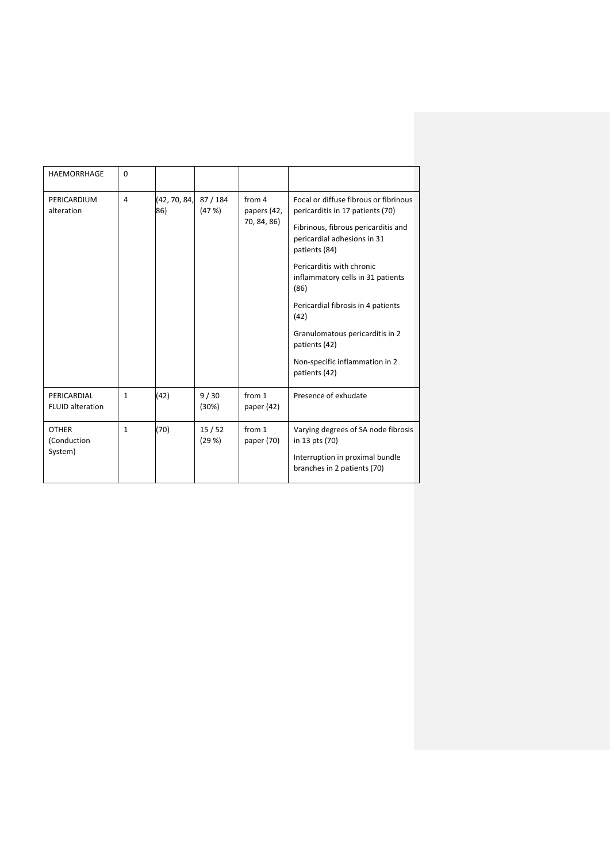| <b>HAEMORRHAGE</b>                     | $\Omega$     |                     |                 |                                      |                                                                                                                                                                                                                                                                                                                                                                                                 |
|----------------------------------------|--------------|---------------------|-----------------|--------------------------------------|-------------------------------------------------------------------------------------------------------------------------------------------------------------------------------------------------------------------------------------------------------------------------------------------------------------------------------------------------------------------------------------------------|
| PERICARDIUM<br>alteration              | 4            | (42, 70, 84,<br>86) | 87/184<br>(47%) | from 4<br>papers (42,<br>70, 84, 86) | Focal or diffuse fibrous or fibrinous<br>pericarditis in 17 patients (70)<br>Fibrinous, fibrous pericarditis and<br>pericardial adhesions in 31<br>patients (84)<br>Pericarditis with chronic<br>inflammatory cells in 31 patients<br>(86)<br>Pericardial fibrosis in 4 patients<br>(42)<br>Granulomatous pericarditis in 2<br>patients (42)<br>Non-specific inflammation in 2<br>patients (42) |
| PERICARDIAL<br><b>FLUID alteration</b> | $\mathbf{1}$ | (42)                | 9/30<br>(30%)   | from 1<br>paper $(42)$               | Presence of exhudate                                                                                                                                                                                                                                                                                                                                                                            |
| <b>OTHER</b><br>(Conduction<br>System) | $\mathbf{1}$ | (70)                | 15/52<br>(29%)  | from 1<br>paper (70)                 | Varying degrees of SA node fibrosis<br>in 13 pts (70)<br>Interruption in proximal bundle<br>branches in 2 patients (70)                                                                                                                                                                                                                                                                         |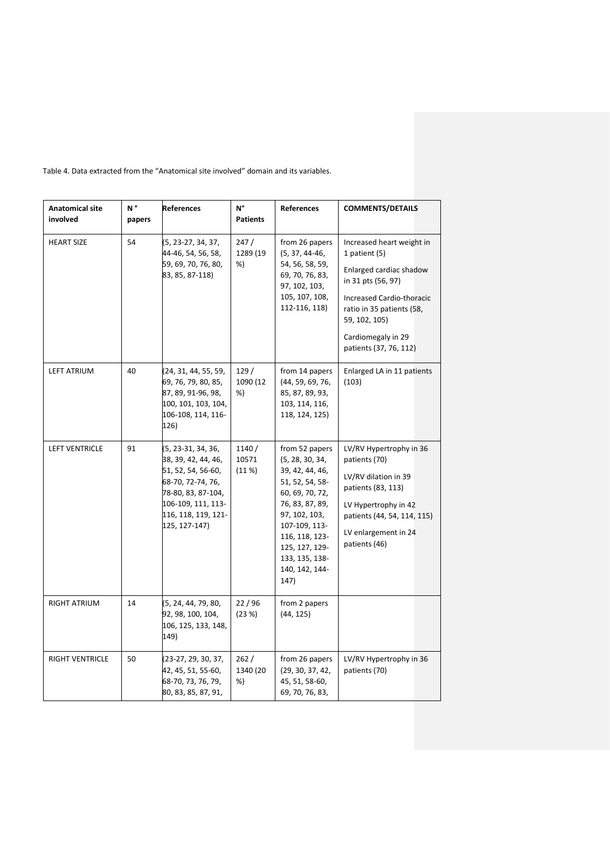| <b>Anatomical site</b><br>involved | N°<br>papers | <b>References</b>                                                                                                                                                        | N°<br><b>Patients</b>   | <b>References</b>                                                                                                                                                                                                               | <b>COMMENTS/DETAILS</b>                                                                                                                                                                                                |
|------------------------------------|--------------|--------------------------------------------------------------------------------------------------------------------------------------------------------------------------|-------------------------|---------------------------------------------------------------------------------------------------------------------------------------------------------------------------------------------------------------------------------|------------------------------------------------------------------------------------------------------------------------------------------------------------------------------------------------------------------------|
| <b>HEART SIZE</b>                  | 54           | (5, 23-27, 34, 37,<br>44-46, 54, 56, 58,<br>59, 69, 70, 76, 80,<br>83, 85, 87-118)                                                                                       | 247/<br>1289 (19<br>%)  | from 26 papers<br>$(5, 37, 44-46,$<br>54, 56, 58, 59,<br>69, 70, 76, 83,<br>97, 102, 103,<br>105, 107, 108,<br>112-116, 118)                                                                                                    | Increased heart weight in<br>1 patient (5)<br>Enlarged cardiac shadow<br>in 31 pts (56, 97)<br>Increased Cardio-thoracic<br>ratio in 35 patients (58,<br>59, 102, 105)<br>Cardiomegaly in 29<br>patients (37, 76, 112) |
| <b>LEFT ATRIUM</b>                 | 40           | (24, 31, 44, 55, 59,<br>69, 76, 79, 80, 85,<br>87, 89, 91-96, 98,<br>100, 101, 103, 104,<br>106-108, 114, 116-<br>126)                                                   | 129/<br>1090 (12<br>%)  | from 14 papers<br>(44, 59, 69, 76,<br>85, 87, 89, 93,<br>103, 114, 116,<br>118, 124, 125)                                                                                                                                       | Enlarged LA in 11 patients<br>(103)                                                                                                                                                                                    |
| <b>LEFT VENTRICLE</b>              | 91           | (5, 23-31, 34, 36,<br>38, 39, 42, 44, 46,<br>51, 52, 54, 56-60,<br>68-70, 72-74, 76,<br>78-80, 83, 87-104,<br>106-109, 111, 113-<br>116, 118, 119, 121-<br>125, 127-147) | 1140/<br>10571<br>(11%) | from 52 papers<br>(5, 28, 30, 34,<br>39, 42, 44, 46,<br>51, 52, 54, 58-<br>60, 69, 70, 72,<br>76, 83, 87, 89,<br>97, 102, 103,<br>107-109, 113-<br>116, 118, 123-<br>125, 127, 129-<br>133, 135, 138-<br>140, 142, 144-<br>147) | LV/RV Hypertrophy in 36<br>patients (70)<br>LV/RV dilation in 39<br>patients (83, 113)<br>LV Hypertrophy in 42<br>patients (44, 54, 114, 115)<br>LV enlargement in 24<br>patients (46)                                 |
| <b>RIGHT ATRIUM</b>                | 14           | (5, 24, 44, 79, 80,<br>92, 98, 100, 104,<br>106, 125, 133, 148,<br>149)                                                                                                  | 22/96<br>(23%)          | from 2 papers<br>(44, 125)                                                                                                                                                                                                      |                                                                                                                                                                                                                        |
| RIGHT VENTRICLE                    | 50           | (23-27, 29, 30, 37,<br>42, 45, 51, 55-60,<br>68-70, 73, 76, 79,<br>80, 83, 85, 87, 91,                                                                                   | 262/<br>1340 (20<br>%)  | from 26 papers<br>(29, 30, 37, 42,<br>45, 51, 58-60,<br>69, 70, 76, 83,                                                                                                                                                         | LV/RV Hypertrophy in 36<br>patients (70)                                                                                                                                                                               |

Table 4. Data extracted from the "Anatomical site involved" domain and its variables.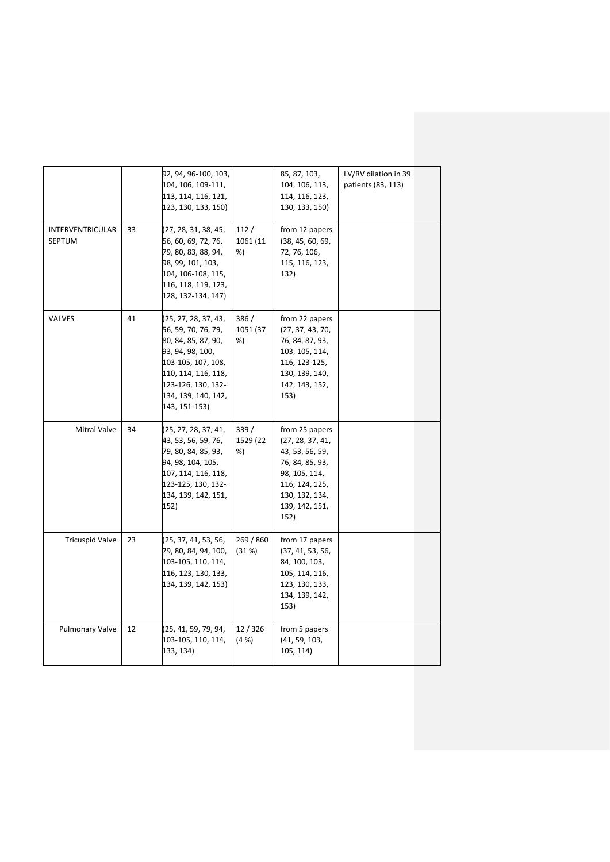|                                   |    | 92, 94, 96-100, 103,<br>104, 106, 109-111,<br>113, 114, 116, 121,<br>123, 130, 133, 150)                                                                                                          |                        | 85, 87, 103,<br>104, 106, 113,<br>114, 116, 123,<br>130, 133, 150)                                                                                      | LV/RV dilation in 39<br>patients (83, 113) |  |
|-----------------------------------|----|---------------------------------------------------------------------------------------------------------------------------------------------------------------------------------------------------|------------------------|---------------------------------------------------------------------------------------------------------------------------------------------------------|--------------------------------------------|--|
| INTERVENTRICULAR<br><b>SEPTUM</b> | 33 | (27, 28, 31, 38, 45,<br>56, 60, 69, 72, 76,<br>79, 80, 83, 88, 94,<br>98, 99, 101, 103,<br>104, 106-108, 115,<br>116, 118, 119, 123,<br>128, 132-134, 147)                                        | 112/<br>1061 (11<br>%) | from 12 papers<br>(38, 45, 60, 69,<br>72, 76, 106,<br>115, 116, 123,<br>132)                                                                            |                                            |  |
| VALVES                            | 41 | (25, 27, 28, 37, 43,<br>56, 59, 70, 76, 79,<br>80, 84, 85, 87, 90,<br>93, 94, 98, 100,<br>103-105, 107, 108,<br>110, 114, 116, 118,<br>123-126, 130, 132-<br>134, 139, 140, 142,<br>143, 151-153) | 386/<br>1051 (37<br>%) | from 22 papers<br>(27, 37, 43, 70,<br>76, 84, 87, 93,<br>103, 105, 114,<br>116, 123-125,<br>130, 139, 140,<br>142, 143, 152,<br>153)                    |                                            |  |
| Mitral Valve                      | 34 | (25, 27, 28, 37, 41,<br>43, 53, 56, 59, 76,<br>79, 80, 84, 85, 93,<br>94, 98, 104, 105,<br>107, 114, 116, 118,<br>123-125, 130, 132-<br>134, 139, 142, 151,<br>152)                               | 339/<br>1529 (22<br>%) | from 25 papers<br>(27, 28, 37, 41,<br>43, 53, 56, 59,<br>76, 84, 85, 93,<br>98, 105, 114,<br>116, 124, 125,<br>130, 132, 134,<br>139, 142, 151,<br>152) |                                            |  |
| <b>Tricuspid Valve</b>            | 23 | (25, 37, 41, 53, 56,<br>79, 80, 84, 94, 100,<br>103-105, 110, 114,<br>116, 123, 130, 133,<br>134, 139, 142, 153)                                                                                  | 269 / 860<br>(31%)     | from 17 papers<br>(37, 41, 53, 56,<br>84, 100, 103,<br>105, 114, 116,<br>123, 130, 133,<br>134, 139, 142,<br>153)                                       |                                            |  |
| <b>Pulmonary Valve</b>            | 12 | (25, 41, 59, 79, 94,<br>103-105, 110, 114,<br>133, 134)                                                                                                                                           | 12/326<br>(4% )        | from 5 papers<br>(41, 59, 103,<br>105, 114)                                                                                                             |                                            |  |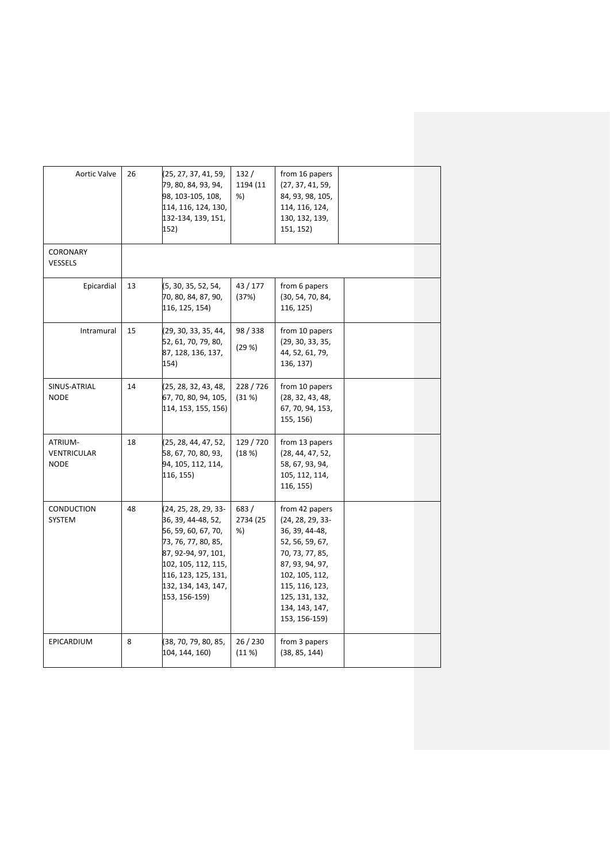| Aortic Valve                                 | 26 | (25, 27, 37, 41, 59,<br>79, 80, 84, 93, 94,<br>98, 103-105, 108,<br>114, 116, 124, 130,<br>132-134, 139, 151,<br>152)                                                                                 | 132/<br>1194 (11<br>%) | from 16 papers<br>(27, 37, 41, 59,<br>84, 93, 98, 105,<br>114, 116, 124,<br>130, 132, 139,<br>151, 152)                                                                                                  |  |
|----------------------------------------------|----|-------------------------------------------------------------------------------------------------------------------------------------------------------------------------------------------------------|------------------------|----------------------------------------------------------------------------------------------------------------------------------------------------------------------------------------------------------|--|
| <b>CORONARY</b><br>VESSELS                   |    |                                                                                                                                                                                                       |                        |                                                                                                                                                                                                          |  |
| Epicardial                                   | 13 | (5, 30, 35, 52, 54,<br>70, 80, 84, 87, 90,<br>116, 125, 154)                                                                                                                                          | 43/177<br>(37%)        | from 6 papers<br>(30, 54, 70, 84,<br>116, 125)                                                                                                                                                           |  |
| Intramural                                   | 15 | (29, 30, 33, 35, 44,<br>52, 61, 70, 79, 80,<br>87, 128, 136, 137,<br>154)                                                                                                                             | 98 / 338<br>(29%)      | from 10 papers<br>(29, 30, 33, 35,<br>44, 52, 61, 79,<br>136, 137)                                                                                                                                       |  |
| SINUS-ATRIAL<br><b>NODE</b>                  | 14 | (25, 28, 32, 43, 48,<br>67, 70, 80, 94, 105,<br>114, 153, 155, 156)                                                                                                                                   | 228/726<br>(31%)       | from 10 papers<br>(28, 32, 43, 48,<br>67, 70, 94, 153,<br>155, 156)                                                                                                                                      |  |
| ATRIUM-<br><b>VENTRICULAR</b><br><b>NODE</b> | 18 | (25, 28, 44, 47, 52,<br>58, 67, 70, 80, 93,<br>94, 105, 112, 114,<br>116, 155)                                                                                                                        | 129 / 720<br>(18%)     | from 13 papers<br>(28, 44, 47, 52,<br>58, 67, 93, 94,<br>105, 112, 114,<br>116, 155)                                                                                                                     |  |
| CONDUCTION<br>SYSTEM                         | 48 | (24, 25, 28, 29, 33-<br>36, 39, 44-48, 52,<br>56, 59, 60, 67, 70,<br>73, 76, 77, 80, 85,<br>87, 92-94, 97, 101,<br>102, 105, 112, 115,<br>116, 123, 125, 131,<br>132, 134, 143, 147,<br>153, 156-159) | 683/<br>2734 (25<br>%) | from 42 papers<br>$(24, 28, 29, 33-$<br>36, 39, 44-48,<br>52, 56, 59, 67,<br>70, 73, 77, 85,<br>87, 93, 94, 97,<br>102, 105, 112,<br>115, 116, 123,<br>125, 131, 132,<br>134, 143, 147,<br>153, 156-159) |  |
| EPICARDIUM                                   | 8  | (38, 70, 79, 80, 85,<br>104, 144, 160)                                                                                                                                                                | 26/230<br>(11%)        | from 3 papers<br>(38, 85, 144)                                                                                                                                                                           |  |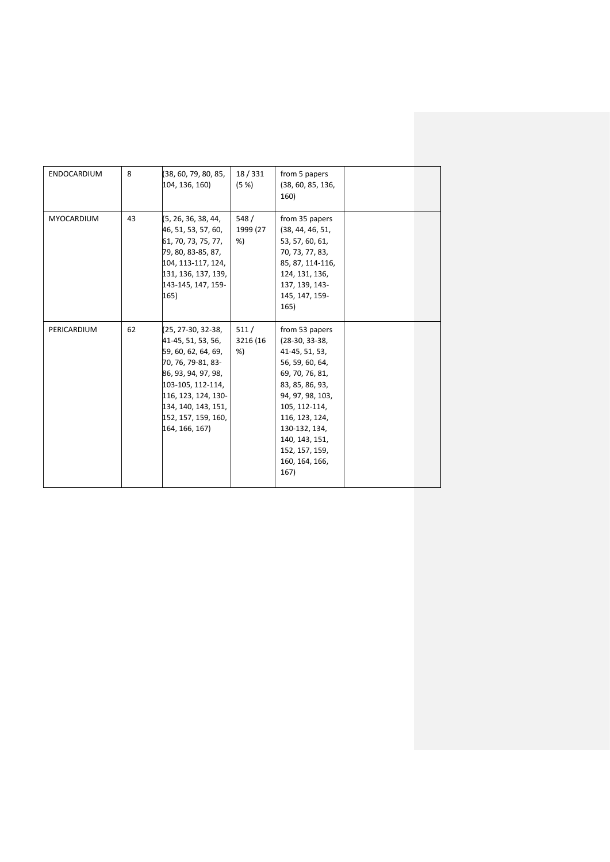| ENDOCARDIUM | 8  | (38, 60, 79, 80, 85,<br>104, 136, 160)                                                                                                                                                                                   | 18/331<br>(5 %)        | from 5 papers<br>(38, 60, 85, 136,<br>160)                                                                                                                                                                                                          |  |
|-------------|----|--------------------------------------------------------------------------------------------------------------------------------------------------------------------------------------------------------------------------|------------------------|-----------------------------------------------------------------------------------------------------------------------------------------------------------------------------------------------------------------------------------------------------|--|
| MYOCARDIUM  | 43 | (5, 26, 36, 38, 44,<br>46, 51, 53, 57, 60,<br>61, 70, 73, 75, 77,<br>79, 80, 83-85, 87,<br>104, 113-117, 124,<br>131, 136, 137, 139,<br>143-145, 147, 159-<br>165)                                                       | 548/<br>1999 (27<br>%) | from 35 papers<br>(38, 44, 46, 51,<br>53, 57, 60, 61,<br>70, 73, 77, 83,<br>85, 87, 114-116,<br>124, 131, 136,<br>137, 139, 143-<br>145, 147, 159-<br>165)                                                                                          |  |
| PERICARDIUM | 62 | (25, 27-30, 32-38,<br>41-45, 51, 53, 56,<br>59, 60, 62, 64, 69,<br>70, 76, 79-81, 83-<br>86, 93, 94, 97, 98,<br>103-105, 112-114,<br>116, 123, 124, 130-<br>134, 140, 143, 151,<br>152, 157, 159, 160,<br>164, 166, 167) | 511/<br>3216 (16<br>%) | from 53 papers<br>$(28-30, 33-38,$<br>41-45, 51, 53,<br>56, 59, 60, 64,<br>69, 70, 76, 81,<br>83, 85, 86, 93,<br>94, 97, 98, 103,<br>105, 112-114,<br>116, 123, 124,<br>130-132, 134,<br>140, 143, 151,<br>152, 157, 159,<br>160, 164, 166,<br>167) |  |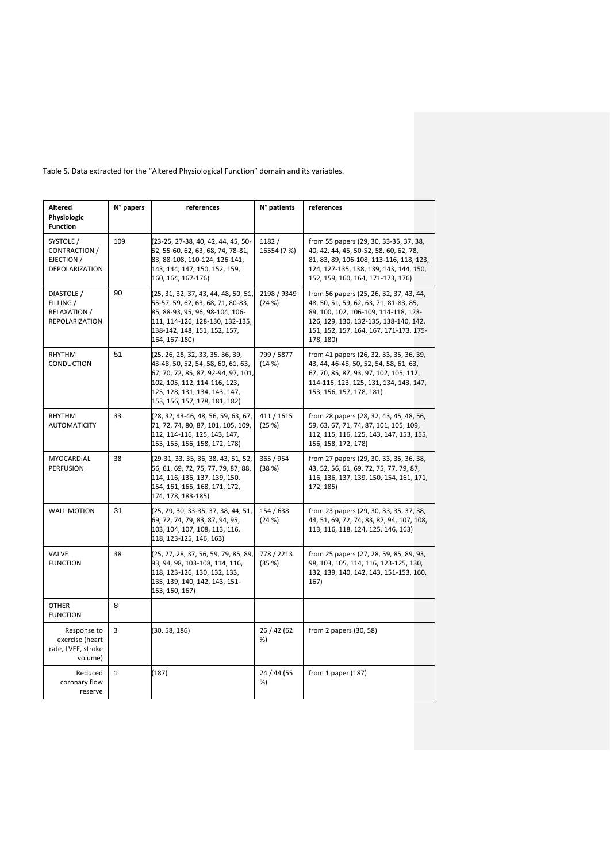| <b>Altered</b><br>Physiologic<br><b>Function</b>                  | N° papers    | references                                                                                                                                                                                                      | N° patients          | references                                                                                                                                                                                                                |
|-------------------------------------------------------------------|--------------|-----------------------------------------------------------------------------------------------------------------------------------------------------------------------------------------------------------------|----------------------|---------------------------------------------------------------------------------------------------------------------------------------------------------------------------------------------------------------------------|
| SYSTOLE /<br><b>CONTRACTION /</b><br>EJECTION /<br>DEPOLARIZATION | 109          | (23-25, 27-38, 40, 42, 44, 45, 50-<br>52, 55-60, 62, 63, 68, 74, 78-81,<br>83, 88-108, 110-124, 126-141,<br>143, 144, 147, 150, 152, 159,<br>160, 164, 167-176)                                                 | 1182/<br>16554 (7 %) | from 55 papers (29, 30, 33-35, 37, 38,<br>40, 42, 44, 45, 50-52, 58, 60, 62, 78,<br>81, 83, 89, 106-108, 113-116, 118, 123,<br>124, 127-135, 138, 139, 143, 144, 150,<br>152, 159, 160, 164, 171-173, 176)                |
| DIASTOLE /<br>FILLING /<br>RELAXATION /<br>REPOLARIZATION         | 90           | (25, 31, 32, 37, 43, 44, 48, 50, 51,<br>55-57, 59, 62, 63, 68, 71, 80-83,<br>85, 88-93, 95, 96, 98-104, 106-<br>111, 114-126, 128-130, 132-135,<br>138-142, 148, 151, 152, 157,<br>164, 167-180)                | 2198 / 9349<br>(24%) | from 56 papers (25, 26, 32, 37, 43, 44,<br>48, 50, 51, 59, 62, 63, 71, 81-83, 85,<br>89, 100, 102, 106-109, 114-118, 123-<br>126, 129, 130, 132-135, 138-140, 142,<br>151, 152, 157, 164, 167, 171-173, 175-<br>178, 180) |
| RHYTHM<br>CONDUCTION                                              | 51           | (25, 26, 28, 32, 33, 35, 36, 39,<br>43-48, 50, 52, 54, 58, 60, 61, 63,<br>67, 70, 72, 85, 87, 92-94, 97, 101,<br>102, 105, 112, 114-116, 123,<br>125, 128, 131, 134, 143, 147,<br>153, 156, 157, 178, 181, 182) | 799 / 5877<br>(14%)  | from 41 papers (26, 32, 33, 35, 36, 39,<br>43, 44, 46-48, 50, 52, 54, 58, 61, 63,<br>67, 70, 85, 87, 93, 97, 102, 105, 112,<br>114-116, 123, 125, 131, 134, 143, 147,<br>153, 156, 157, 178, 181)                         |
| RHYTHM<br><b>AUTOMATICITY</b>                                     | 33           | (28, 32, 43-46, 48, 56, 59, 63, 67,<br>71, 72, 74, 80, 87, 101, 105, 109,<br>112, 114-116, 125, 143, 147,<br>153, 155, 156, 158, 172, 178)                                                                      | 411 / 1615<br>(25%)  | from 28 papers (28, 32, 43, 45, 48, 56,<br>59, 63, 67, 71, 74, 87, 101, 105, 109,<br>112, 115, 116, 125, 143, 147, 153, 155,<br>156, 158, 172, 178)                                                                       |
| MYOCARDIAL<br><b>PERFUSION</b>                                    | 38           | (29-31, 33, 35, 36, 38, 43, 51, 52,<br>56, 61, 69, 72, 75, 77, 79, 87, 88,<br>114, 116, 136, 137, 139, 150,<br>154, 161, 165, 168, 171, 172,<br>174, 178, 183-185)                                              | 365 / 954<br>(38%)   | from 27 papers (29, 30, 33, 35, 36, 38,<br>43, 52, 56, 61, 69, 72, 75, 77, 79, 87,<br>116, 136, 137, 139, 150, 154, 161, 171,<br>172, 185)                                                                                |
| <b>WALL MOTION</b>                                                | 31           | (25, 29, 30, 33-35, 37, 38, 44, 51,<br>69, 72, 74, 79, 83, 87, 94, 95,<br>103, 104, 107, 108, 113, 116,<br>118, 123-125, 146, 163)                                                                              | 154 / 638<br>(24%)   | from 23 papers (29, 30, 33, 35, 37, 38,<br>44, 51, 69, 72, 74, 83, 87, 94, 107, 108,<br>113, 116, 118, 124, 125, 146, 163)                                                                                                |
| VALVE<br><b>FUNCTION</b>                                          | 38           | (25, 27, 28, 37, 56, 59, 79, 85, 89,<br>93, 94, 98, 103-108, 114, 116,<br>118, 123-126, 130, 132, 133,<br>135, 139, 140, 142, 143, 151-<br>153, 160, 167)                                                       | 778 / 2213<br>(35%)  | from 25 papers (27, 28, 59, 85, 89, 93,<br>98, 103, 105, 114, 116, 123-125, 130,<br>132, 139, 140, 142, 143, 151-153, 160,<br>167)                                                                                        |
| <b>OTHER</b><br><b>FUNCTION</b>                                   | 8            |                                                                                                                                                                                                                 |                      |                                                                                                                                                                                                                           |
| Response to<br>exercise (heart<br>rate, LVEF, stroke<br>volume)   | 3            | (30, 58, 186)                                                                                                                                                                                                   | 26 / 42 (62<br>%)    | from 2 papers (30, 58)                                                                                                                                                                                                    |
| Reduced<br>coronary flow<br>reserve                               | $\mathbf{1}$ | (187)                                                                                                                                                                                                           | 24 / 44 (55<br>%)    | from 1 paper $(187)$                                                                                                                                                                                                      |

Table 5. Data extracted for the "Altered Physiological Function" domain and its variables.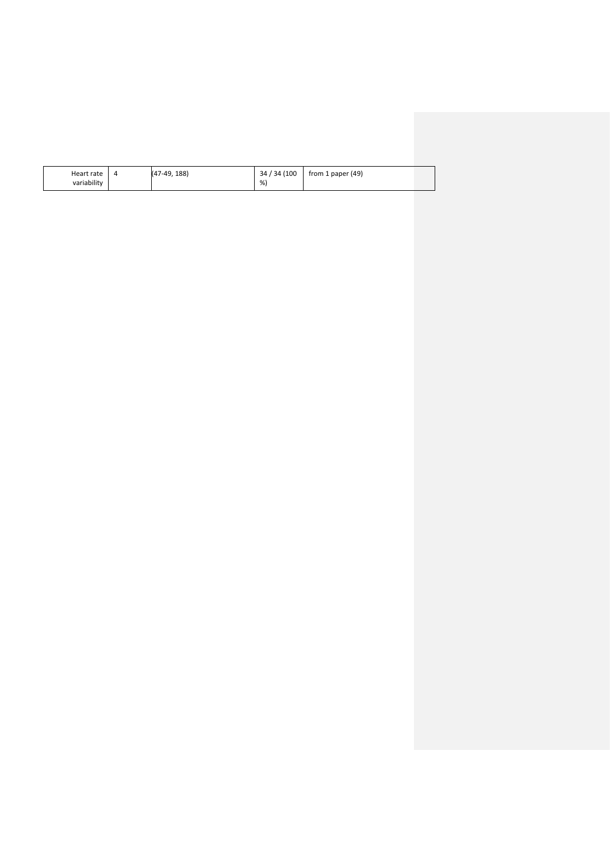| Heart rate  | 4 | $(47-49.188)$ | 34 / 34 (100 | from 1 paper $(49)$ |  |
|-------------|---|---------------|--------------|---------------------|--|
| variability |   |               | %            |                     |  |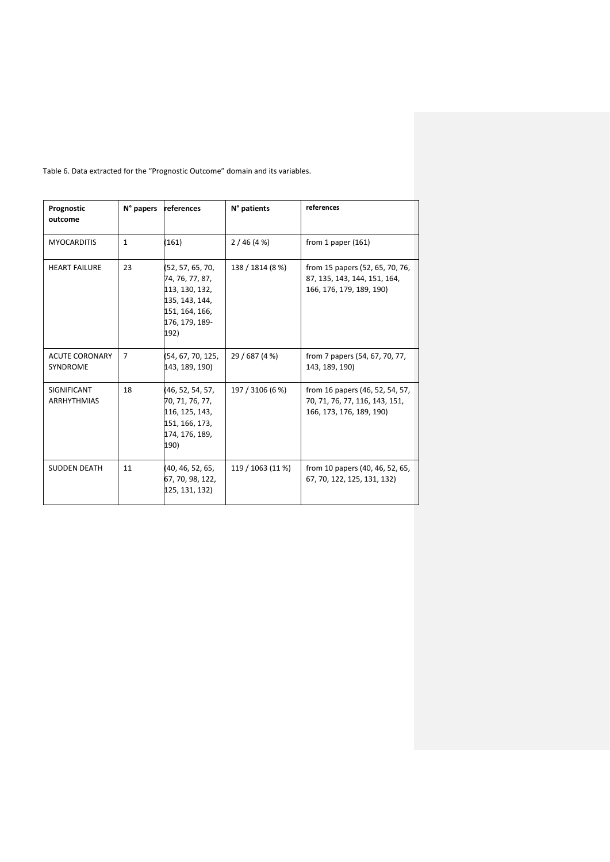| Prognostic<br>outcome             | N° papers      | references                                                                                                          | N° patients       | references                                                                                    |
|-----------------------------------|----------------|---------------------------------------------------------------------------------------------------------------------|-------------------|-----------------------------------------------------------------------------------------------|
| <b>MYOCARDITIS</b>                | $\mathbf{1}$   | (161)                                                                                                               | 2/46(4%)          | from 1 paper $(161)$                                                                          |
| <b>HEART FAILURE</b>              | 23             | (52, 57, 65, 70,<br>74, 76, 77, 87,<br>113, 130, 132,<br>135, 143, 144,<br>151, 164, 166,<br>176, 179, 189-<br>192) | 138 / 1814 (8 %)  | from 15 papers (52, 65, 70, 76,<br>87, 135, 143, 144, 151, 164,<br>166, 176, 179, 189, 190)   |
| <b>ACUTE CORONARY</b><br>SYNDROME | $\overline{7}$ | (54, 67, 70, 125,<br>143, 189, 190)                                                                                 | 29 / 687 (4 %)    | from 7 papers (54, 67, 70, 77,<br>143, 189, 190)                                              |
| SIGNIFICANT<br><b>ARRHYTHMIAS</b> | 18             | (46, 52, 54, 57,<br>70, 71, 76, 77,<br>116, 125, 143,<br>151, 166, 173,<br>174, 176, 189,<br>190)                   | 197 / 3106 (6 %)  | from 16 papers (46, 52, 54, 57,<br>70, 71, 76, 77, 116, 143, 151,<br>166, 173, 176, 189, 190) |
| <b>SUDDEN DEATH</b>               | 11             | (40, 46, 52, 65,<br>67, 70, 98, 122,<br>125, 131, 132)                                                              | 119 / 1063 (11 %) | from 10 papers (40, 46, 52, 65,<br>67, 70, 122, 125, 131, 132)                                |

Table 6. Data extracted for the "Prognostic Outcome" domain and its variables.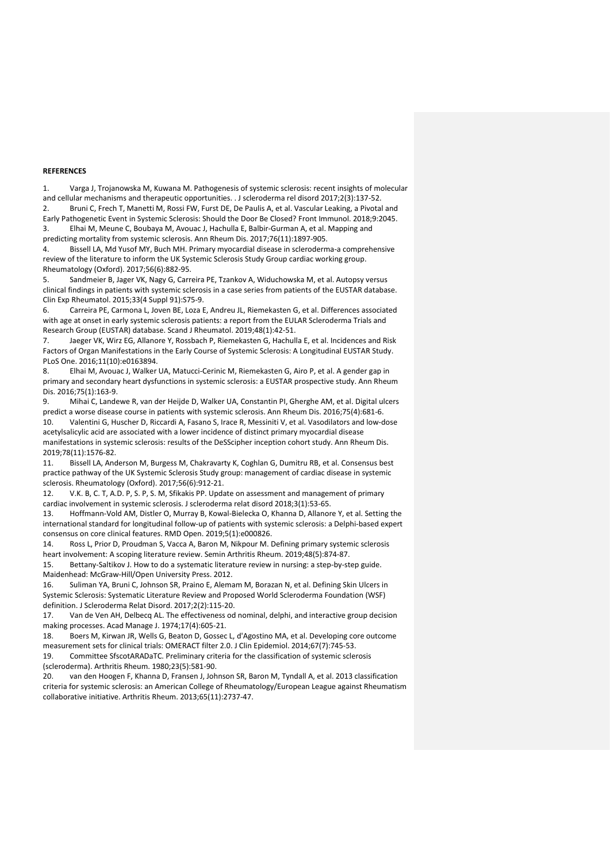#### **REFERENCES**

1. Varga J, Trojanowska M, Kuwana M. Pathogenesis of systemic sclerosis: recent insights of molecular and cellular mechanisms and therapeutic opportunities. . J scleroderma rel disord 2017;2(3):137-52. 2. Bruni C, Frech T, Manetti M, Rossi FW, Furst DE, De Paulis A, et al. Vascular Leaking, a Pivotal and Early Pathogenetic Event in Systemic Sclerosis: Should the Door Be Closed? Front Immunol. 2018;9:2045.

3. Elhai M, Meune C, Boubaya M, Avouac J, Hachulla E, Balbir-Gurman A, et al. Mapping and predicting mortality from systemic sclerosis. Ann Rheum Dis. 2017;76(11):1897-905.

4. Bissell LA, Md Yusof MY, Buch MH. Primary myocardial disease in scleroderma-a comprehensive review of the literature to inform the UK Systemic Sclerosis Study Group cardiac working group. Rheumatology (Oxford). 2017;56(6):882-95.

5. Sandmeier B, Jager VK, Nagy G, Carreira PE, Tzankov A, Widuchowska M, et al. Autopsy versus clinical findings in patients with systemic sclerosis in a case series from patients of the EUSTAR database. Clin Exp Rheumatol. 2015;33(4 Suppl 91):S75-9.

6. Carreira PE, Carmona L, Joven BE, Loza E, Andreu JL, Riemekasten G, et al. Differences associated with age at onset in early systemic sclerosis patients: a report from the EULAR Scleroderma Trials and Research Group (EUSTAR) database. Scand J Rheumatol. 2019;48(1):42-51.

7. Jaeger VK, Wirz EG, Allanore Y, Rossbach P, Riemekasten G, Hachulla E, et al. Incidences and Risk Factors of Organ Manifestations in the Early Course of Systemic Sclerosis: A Longitudinal EUSTAR Study. PLoS One. 2016;11(10):e0163894.

8. Elhai M, Avouac J, Walker UA, Matucci-Cerinic M, Riemekasten G, Airo P, et al. A gender gap in primary and secondary heart dysfunctions in systemic sclerosis: a EUSTAR prospective study. Ann Rheum Dis. 2016;75(1):163-9.

9. Mihai C, Landewe R, van der Heijde D, Walker UA, Constantin PI, Gherghe AM, et al. Digital ulcers predict a worse disease course in patients with systemic sclerosis. Ann Rheum Dis. 2016;75(4):681-6.

10. Valentini G, Huscher D, Riccardi A, Fasano S, Irace R, Messiniti V, et al. Vasodilators and low-dose acetylsalicylic acid are associated with a lower incidence of distinct primary myocardial disease manifestations in systemic sclerosis: results of the DeSScipher inception cohort study. Ann Rheum Dis. 2019;78(11):1576-82.

11. Bissell LA, Anderson M, Burgess M, Chakravarty K, Coghlan G, Dumitru RB, et al. Consensus best practice pathway of the UK Systemic Sclerosis Study group: management of cardiac disease in systemic sclerosis. Rheumatology (Oxford). 2017;56(6):912-21.

12. V.K. B, C. T, A.D. P, S. P, S. M, Sfikakis PP. Update on assessment and management of primary cardiac involvement in systemic sclerosis. J scleroderma relat disord 2018;3(1):53-65.

13. Hoffmann-Vold AM, Distler O, Murray B, Kowal-Bielecka O, Khanna D, Allanore Y, et al. Setting the international standard for longitudinal follow-up of patients with systemic sclerosis: a Delphi-based expert consensus on core clinical features. RMD Open. 2019;5(1):e000826.

14. Ross L, Prior D, Proudman S, Vacca A, Baron M, Nikpour M. Defining primary systemic sclerosis heart involvement: A scoping literature review. Semin Arthritis Rheum. 2019;48(5):874-87.

15. Bettany-Saltikov J. How to do a systematic literature review in nursing: a step-by-step guide. Maidenhead: McGraw-Hill/Open University Press. 2012.

16. Suliman YA, Bruni C, Johnson SR, Praino E, Alemam M, Borazan N, et al. Defining Skin Ulcers in Systemic Sclerosis: Systematic Literature Review and Proposed World Scleroderma Foundation (WSF) definition. J Scleroderma Relat Disord. 2017;2(2):115-20.

17. Van de Ven AH, Delbecq AL. The effectiveness od nominal, delphi, and interactive group decision making processes. Acad Manage J. 1974;17(4):605-21.

18. Boers M, Kirwan JR, Wells G, Beaton D, Gossec L, d'Agostino MA, et al. Developing core outcome measurement sets for clinical trials: OMERACT filter 2.0. J Clin Epidemiol. 2014;67(7):745-53. 19. Committee SfscotARADaTC. Preliminary criteria for the classification of systemic sclerosis

(scleroderma). Arthritis Rheum. 1980;23(5):581-90.

20. van den Hoogen F, Khanna D, Fransen J, Johnson SR, Baron M, Tyndall A, et al. 2013 classification criteria for systemic sclerosis: an American College of Rheumatology/European League against Rheumatism collaborative initiative. Arthritis Rheum. 2013;65(11):2737-47.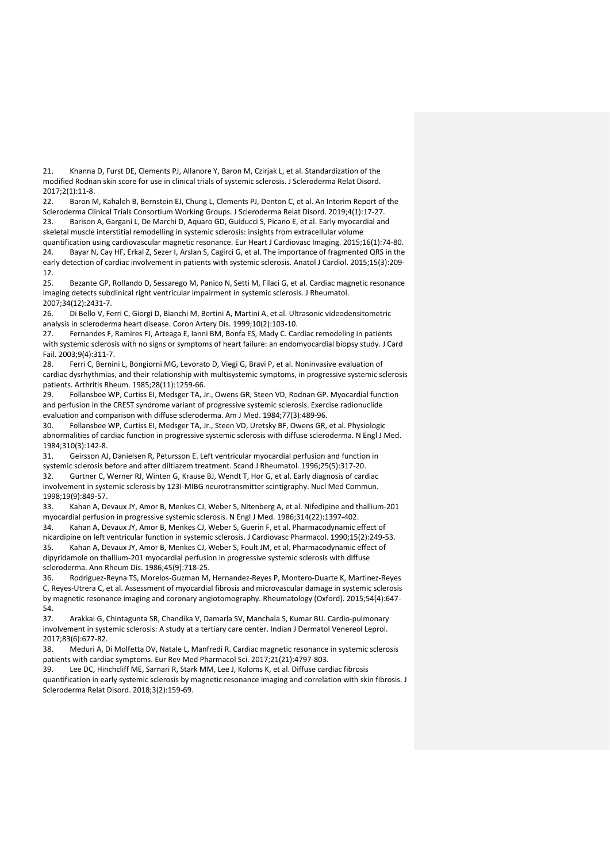21. Khanna D, Furst DE, Clements PJ, Allanore Y, Baron M, Czirjak L, et al. Standardization of the modified Rodnan skin score for use in clinical trials of systemic sclerosis. J Scleroderma Relat Disord. 2017;2(1):11-8.

22. Baron M, Kahaleh B, Bernstein EJ, Chung L, Clements PJ, Denton C, et al. An Interim Report of the Scleroderma Clinical Trials Consortium Working Groups. J Scleroderma Relat Disord. 2019;4(1):17-27. 23. Barison A, Gargani L, De Marchi D, Aquaro GD, Guiducci S, Picano E, et al. Early myocardial and skeletal muscle interstitial remodelling in systemic sclerosis: insights from extracellular volume

quantification using cardiovascular magnetic resonance. Eur Heart J Cardiovasc Imaging. 2015;16(1):74-80. 24. Bayar N, Cay HF, Erkal Z, Sezer I, Arslan S, Cagirci G, et al. The importance of fragmented QRS in the early detection of cardiac involvement in patients with systemic sclerosis. Anatol J Cardiol. 2015;15(3):209- 12.

25. Bezante GP, Rollando D, Sessarego M, Panico N, Setti M, Filaci G, et al. Cardiac magnetic resonance imaging detects subclinical right ventricular impairment in systemic sclerosis. J Rheumatol. 2007;34(12):2431-7.

26. Di Bello V, Ferri C, Giorgi D, Bianchi M, Bertini A, Martini A, et al. Ultrasonic videodensitometric analysis in scleroderma heart disease. Coron Artery Dis. 1999;10(2):103-10.

27. Fernandes F, Ramires FJ, Arteaga E, Ianni BM, Bonfa ES, Mady C. Cardiac remodeling in patients with systemic sclerosis with no signs or symptoms of heart failure: an endomyocardial biopsy study. J Card Fail. 2003;9(4):311-7.

28. Ferri C, Bernini L, Bongiorni MG, Levorato D, Viegi G, Bravi P, et al. Noninvasive evaluation of cardiac dysrhythmias, and their relationship with multisystemic symptoms, in progressive systemic sclerosis patients. Arthritis Rheum. 1985;28(11):1259-66.

29. Follansbee WP, Curtiss EI, Medsger TA, Jr., Owens GR, Steen VD, Rodnan GP. Myocardial function and perfusion in the CREST syndrome variant of progressive systemic sclerosis. Exercise radionuclide evaluation and comparison with diffuse scleroderma. Am J Med. 1984;77(3):489-96.

30. Follansbee WP, Curtiss EI, Medsger TA, Jr., Steen VD, Uretsky BF, Owens GR, et al. Physiologic abnormalities of cardiac function in progressive systemic sclerosis with diffuse scleroderma. N Engl J Med. 1984;310(3):142-8.

31. Geirsson AJ, Danielsen R, Petursson E. Left ventricular myocardial perfusion and function in systemic sclerosis before and after diltiazem treatment. Scand J Rheumatol. 1996;25(5):317-20. 32. Gurtner C, Werner RJ, Winten G, Krause BJ, Wendt T, Hor G, et al. Early diagnosis of cardiac involvement in systemic sclerosis by 123I-MIBG neurotransmitter scintigraphy. Nucl Med Commun. 1998;19(9):849-57.

33. Kahan A, Devaux JY, Amor B, Menkes CJ, Weber S, Nitenberg A, et al. Nifedipine and thallium-201 myocardial perfusion in progressive systemic sclerosis. N Engl J Med. 1986;314(22):1397-402.

34. Kahan A, Devaux JY, Amor B, Menkes CJ, Weber S, Guerin F, et al. Pharmacodynamic effect of nicardipine on left ventricular function in systemic sclerosis. J Cardiovasc Pharmacol. 1990;15(2):249-53. 35. Kahan A, Devaux JY, Amor B, Menkes CJ, Weber S, Foult JM, et al. Pharmacodynamic effect of dipyridamole on thallium-201 myocardial perfusion in progressive systemic sclerosis with diffuse scleroderma. Ann Rheum Dis. 1986;45(9):718-25.

36. Rodriguez-Reyna TS, Morelos-Guzman M, Hernandez-Reyes P, Montero-Duarte K, Martinez-Reyes C, Reyes-Utrera C, et al. Assessment of myocardial fibrosis and microvascular damage in systemic sclerosis by magnetic resonance imaging and coronary angiotomography. Rheumatology (Oxford). 2015;54(4):647- 54.

37. Arakkal G, Chintagunta SR, Chandika V, Damarla SV, Manchala S, Kumar BU. Cardio-pulmonary involvement in systemic sclerosis: A study at a tertiary care center. Indian J Dermatol Venereol Leprol. 2017;83(6):677-82.

38. Meduri A, Di Molfetta DV, Natale L, Manfredi R. Cardiac magnetic resonance in systemic sclerosis patients with cardiac symptoms. Eur Rev Med Pharmacol Sci. 2017;21(21):4797-803.

39. Lee DC, Hinchcliff ME, Sarnari R, Stark MM, Lee J, Koloms K, et al. Diffuse cardiac fibrosis quantification in early systemic sclerosis by magnetic resonance imaging and correlation with skin fibrosis. J Scleroderma Relat Disord. 2018;3(2):159-69.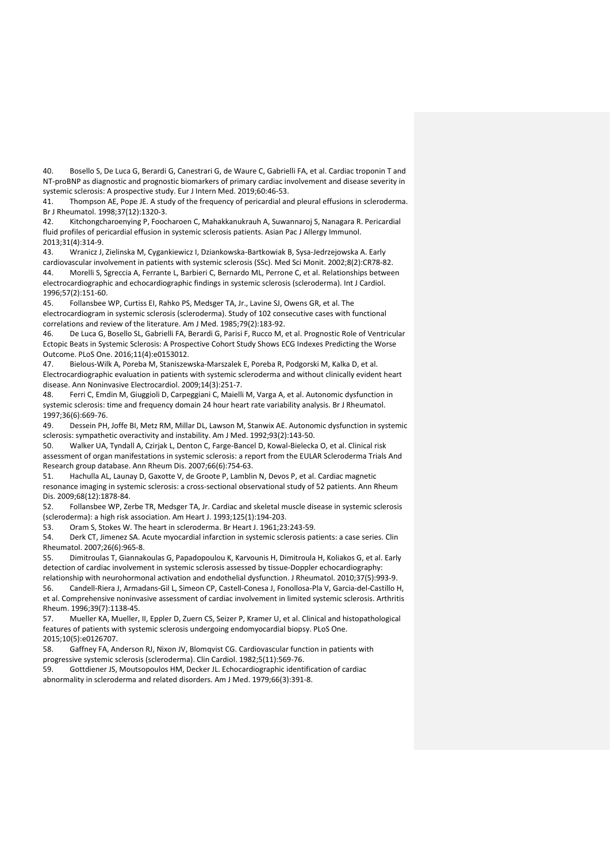40. Bosello S, De Luca G, Berardi G, Canestrari G, de Waure C, Gabrielli FA, et al. Cardiac troponin T and NT-proBNP as diagnostic and prognostic biomarkers of primary cardiac involvement and disease severity in systemic sclerosis: A prospective study. Eur J Intern Med. 2019;60:46-53.

41. Thompson AE, Pope JE. A study of the frequency of pericardial and pleural effusions in scleroderma. Br J Rheumatol. 1998;37(12):1320-3.

42. Kitchongcharoenying P, Foocharoen C, Mahakkanukrauh A, Suwannaroj S, Nanagara R. Pericardial fluid profiles of pericardial effusion in systemic sclerosis patients. Asian Pac J Allergy Immunol. 2013;31(4):314-9.

43. Wranicz J, Zielinska M, Cygankiewicz I, Dziankowska-Bartkowiak B, Sysa-Jedrzejowska A. Early cardiovascular involvement in patients with systemic sclerosis (SSc). Med Sci Monit. 2002;8(2):CR78-82. 44. Morelli S, Sgreccia A, Ferrante L, Barbieri C, Bernardo ML, Perrone C, et al. Relationships between electrocardiographic and echocardiographic findings in systemic sclerosis (scleroderma). Int J Cardiol. 1996;57(2):151-60.

45. Follansbee WP, Curtiss EI, Rahko PS, Medsger TA, Jr., Lavine SJ, Owens GR, et al. The electrocardiogram in systemic sclerosis (scleroderma). Study of 102 consecutive cases with functional correlations and review of the literature. Am J Med. 1985;79(2):183-92.

46. De Luca G, Bosello SL, Gabrielli FA, Berardi G, Parisi F, Rucco M, et al. Prognostic Role of Ventricular Ectopic Beats in Systemic Sclerosis: A Prospective Cohort Study Shows ECG Indexes Predicting the Worse Outcome. PLoS One. 2016;11(4):e0153012.

47. Bielous-Wilk A, Poreba M, Staniszewska-Marszalek E, Poreba R, Podgorski M, Kalka D, et al. Electrocardiographic evaluation in patients with systemic scleroderma and without clinically evident heart disease. Ann Noninvasive Electrocardiol. 2009;14(3):251-7.

48. Ferri C, Emdin M, Giuggioli D, Carpeggiani C, Maielli M, Varga A, et al. Autonomic dysfunction in systemic sclerosis: time and frequency domain 24 hour heart rate variability analysis. Br J Rheumatol. 1997;36(6):669-76.

49. Dessein PH, Joffe BI, Metz RM, Millar DL, Lawson M, Stanwix AE. Autonomic dysfunction in systemic sclerosis: sympathetic overactivity and instability. Am J Med. 1992;93(2):143-50.

50. Walker UA, Tyndall A, Czirjak L, Denton C, Farge-Bancel D, Kowal-Bielecka O, et al. Clinical risk assessment of organ manifestations in systemic sclerosis: a report from the EULAR Scleroderma Trials And Research group database. Ann Rheum Dis. 2007;66(6):754-63.

51. Hachulla AL, Launay D, Gaxotte V, de Groote P, Lamblin N, Devos P, et al. Cardiac magnetic resonance imaging in systemic sclerosis: a cross-sectional observational study of 52 patients. Ann Rheum Dis. 2009;68(12):1878-84.

52. Follansbee WP, Zerbe TR, Medsger TA, Jr. Cardiac and skeletal muscle disease in systemic sclerosis (scleroderma): a high risk association. Am Heart J. 1993;125(1):194-203.

53. Oram S, Stokes W. The heart in scleroderma. Br Heart J. 1961;23:243-59.

54. Derk CT, Jimenez SA. Acute myocardial infarction in systemic sclerosis patients: a case series. Clin Rheumatol. 2007;26(6):965-8.

55. Dimitroulas T, Giannakoulas G, Papadopoulou K, Karvounis H, Dimitroula H, Koliakos G, et al. Early detection of cardiac involvement in systemic sclerosis assessed by tissue-Doppler echocardiography:

relationship with neurohormonal activation and endothelial dysfunction. J Rheumatol. 2010;37(5):993-9. 56. Candell-Riera J, Armadans-Gil L, Simeon CP, Castell-Conesa J, Fonollosa-Pla V, Garcia-del-Castillo H, et al. Comprehensive noninvasive assessment of cardiac involvement in limited systemic sclerosis. Arthritis Rheum. 1996;39(7):1138-45.

57. Mueller KA, Mueller, II, Eppler D, Zuern CS, Seizer P, Kramer U, et al. Clinical and histopathological features of patients with systemic sclerosis undergoing endomyocardial biopsy. PLoS One. 2015;10(5):e0126707.

58. Gaffney FA, Anderson RJ, Nixon JV, Blomqvist CG. Cardiovascular function in patients with progressive systemic sclerosis (scleroderma). Clin Cardiol. 1982;5(11):569-76.

59. Gottdiener JS, Moutsopoulos HM, Decker JL. Echocardiographic identification of cardiac abnormality in scleroderma and related disorders. Am J Med. 1979;66(3):391-8.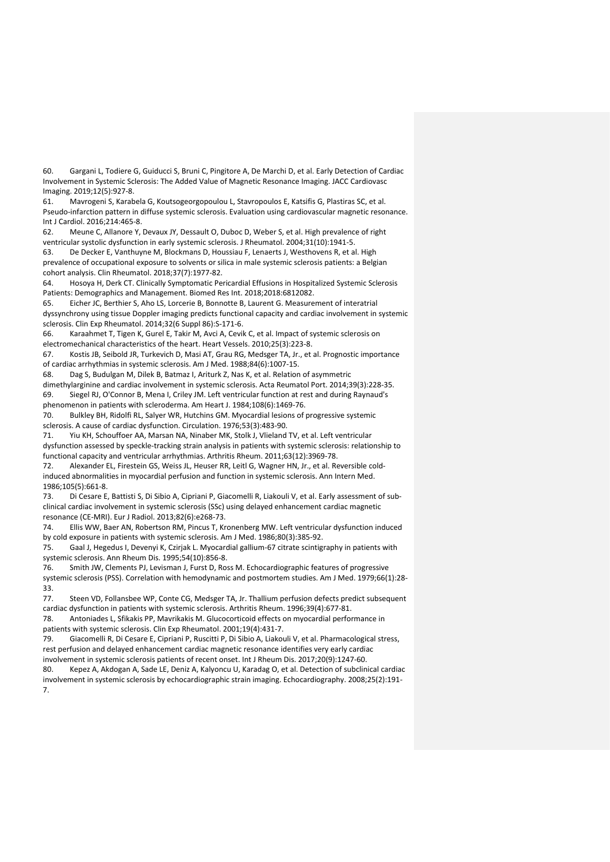60. Gargani L, Todiere G, Guiducci S, Bruni C, Pingitore A, De Marchi D, et al. Early Detection of Cardiac Involvement in Systemic Sclerosis: The Added Value of Magnetic Resonance Imaging. JACC Cardiovasc Imaging. 2019;12(5):927-8.

61. Mavrogeni S, Karabela G, Koutsogeorgopoulou L, Stavropoulos E, Katsifis G, Plastiras SC, et al. Pseudo-infarction pattern in diffuse systemic sclerosis. Evaluation using cardiovascular magnetic resonance. Int J Cardiol. 2016;214:465-8.

62. Meune C, Allanore Y, Devaux JY, Dessault O, Duboc D, Weber S, et al. High prevalence of right ventricular systolic dysfunction in early systemic sclerosis. J Rheumatol. 2004;31(10):1941-5.

63. De Decker E, Vanthuyne M, Blockmans D, Houssiau F, Lenaerts J, Westhovens R, et al. High prevalence of occupational exposure to solvents or silica in male systemic sclerosis patients: a Belgian cohort analysis. Clin Rheumatol. 2018;37(7):1977-82.

64. Hosoya H, Derk CT. Clinically Symptomatic Pericardial Effusions in Hospitalized Systemic Sclerosis Patients: Demographics and Management. Biomed Res Int. 2018;2018:6812082.

65. Eicher JC, Berthier S, Aho LS, Lorcerie B, Bonnotte B, Laurent G. Measurement of interatrial dyssynchrony using tissue Doppler imaging predicts functional capacity and cardiac involvement in systemic sclerosis. Clin Exp Rheumatol. 2014;32(6 Suppl 86):S-171-6.

66. Karaahmet T, Tigen K, Gurel E, Takir M, Avci A, Cevik C, et al. Impact of systemic sclerosis on electromechanical characteristics of the heart. Heart Vessels. 2010;25(3):223-8.

67. Kostis JB, Seibold JR, Turkevich D, Masi AT, Grau RG, Medsger TA, Jr., et al. Prognostic importance of cardiac arrhythmias in systemic sclerosis. Am J Med. 1988;84(6):1007-15.

68. Dag S, Budulgan M, Dilek B, Batmaz I, Ariturk Z, Nas K, et al. Relation of asymmetric dimethylarginine and cardiac involvement in systemic sclerosis. Acta Reumatol Port. 2014;39(3):228-35. 69. Siegel RJ, O'Connor B, Mena I, Criley JM. Left ventricular function at rest and during Raynaud's phenomenon in patients with scleroderma. Am Heart J. 1984;108(6):1469-76.

70. Bulkley BH, Ridolfi RL, Salyer WR, Hutchins GM. Myocardial lesions of progressive systemic sclerosis. A cause of cardiac dysfunction. Circulation. 1976;53(3):483-90.

71. Yiu KH, Schouffoer AA, Marsan NA, Ninaber MK, Stolk J, Vlieland TV, et al. Left ventricular dysfunction assessed by speckle-tracking strain analysis in patients with systemic sclerosis: relationship to functional capacity and ventricular arrhythmias. Arthritis Rheum. 2011;63(12):3969-78.

72. Alexander EL, Firestein GS, Weiss JL, Heuser RR, Leitl G, Wagner HN, Jr., et al. Reversible coldinduced abnormalities in myocardial perfusion and function in systemic sclerosis. Ann Intern Med. 1986;105(5):661-8.

73. Di Cesare E, Battisti S, Di Sibio A, Cipriani P, Giacomelli R, Liakouli V, et al. Early assessment of subclinical cardiac involvement in systemic sclerosis (SSc) using delayed enhancement cardiac magnetic resonance (CE-MRI). Eur J Radiol. 2013;82(6):e268-73.

74. Ellis WW, Baer AN, Robertson RM, Pincus T, Kronenberg MW. Left ventricular dysfunction induced by cold exposure in patients with systemic sclerosis. Am J Med. 1986;80(3):385-92.

75. Gaal J, Hegedus I, Devenyi K, Czirjak L. Myocardial gallium-67 citrate scintigraphy in patients with systemic sclerosis. Ann Rheum Dis. 1995;54(10):856-8.

76. Smith JW, Clements PJ, Levisman J, Furst D, Ross M. Echocardiographic features of progressive systemic sclerosis (PSS). Correlation with hemodynamic and postmortem studies. Am J Med. 1979;66(1):28- 33.

77. Steen VD, Follansbee WP, Conte CG, Medsger TA, Jr. Thallium perfusion defects predict subsequent cardiac dysfunction in patients with systemic sclerosis. Arthritis Rheum. 1996;39(4):677-81.

78. Antoniades L, Sfikakis PP, Mavrikakis M. Glucocorticoid effects on myocardial performance in patients with systemic sclerosis. Clin Exp Rheumatol. 2001;19(4):431-7.

79. Giacomelli R, Di Cesare E, Cipriani P, Ruscitti P, Di Sibio A, Liakouli V, et al. Pharmacological stress, rest perfusion and delayed enhancement cardiac magnetic resonance identifies very early cardiac involvement in systemic sclerosis patients of recent onset. Int J Rheum Dis. 2017;20(9):1247-60.

80. Kepez A, Akdogan A, Sade LE, Deniz A, Kalyoncu U, Karadag O, et al. Detection of subclinical cardiac involvement in systemic sclerosis by echocardiographic strain imaging. Echocardiography. 2008;25(2):191- 7.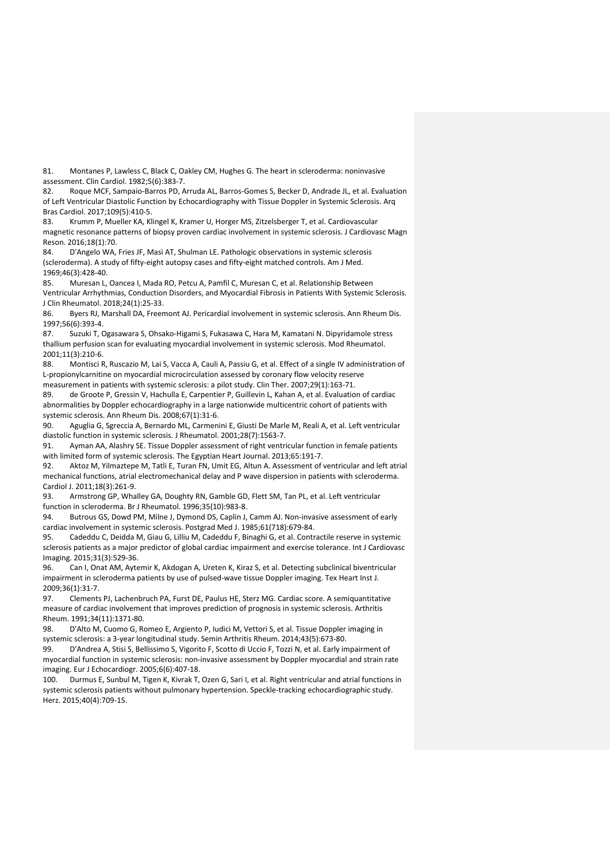81. Montanes P, Lawless C, Black C, Oakley CM, Hughes G. The heart in scleroderma: noninvasive assessment. Clin Cardiol. 1982;5(6):383-7.

82. Roque MCF, Sampaio-Barros PD, Arruda AL, Barros-Gomes S, Becker D, Andrade JL, et al. Evaluation of Left Ventricular Diastolic Function by Echocardiography with Tissue Doppler in Systemic Sclerosis. Arq Bras Cardiol. 2017;109(5):410-5.

83. Krumm P, Mueller KA, Klingel K, Kramer U, Horger MS, Zitzelsberger T, et al. Cardiovascular magnetic resonance patterns of biopsy proven cardiac involvement in systemic sclerosis. J Cardiovasc Magn Reson. 2016;18(1):70.

84. D'Angelo WA, Fries JF, Masi AT, Shulman LE. Pathologic observations in systemic sclerosis (scleroderma). A study of fifty-eight autopsy cases and fifty-eight matched controls. Am J Med. 1969;46(3):428-40.

85. Muresan L, Oancea I, Mada RO, Petcu A, Pamfil C, Muresan C, et al. Relationship Between Ventricular Arrhythmias, Conduction Disorders, and Myocardial Fibrosis in Patients With Systemic Sclerosis. J Clin Rheumatol. 2018;24(1):25-33.

86. Byers RJ, Marshall DA, Freemont AJ. Pericardial involvement in systemic sclerosis. Ann Rheum Dis. 1997;56(6):393-4.

87. Suzuki T, Ogasawara S, Ohsako-Higami S, Fukasawa C, Hara M, Kamatani N. Dipyridamole stress thallium perfusion scan for evaluating myocardial involvement in systemic sclerosis. Mod Rheumatol. 2001;11(3):210-6.

88. Montisci R, Ruscazio M, Lai S, Vacca A, Cauli A, Passiu G, et al. Effect of a single IV administration of L-propionylcarnitine on myocardial microcirculation assessed by coronary flow velocity reserve measurement in patients with systemic sclerosis: a pilot study. Clin Ther. 2007;29(1):163-71.

89. de Groote P, Gressin V, Hachulla E, Carpentier P, Guillevin L, Kahan A, et al. Evaluation of cardiac abnormalities by Doppler echocardiography in a large nationwide multicentric cohort of patients with systemic sclerosis. Ann Rheum Dis. 2008;67(1):31-6.

90. Aguglia G, Sgreccia A, Bernardo ML, Carmenini E, Giusti De Marle M, Reali A, et al. Left ventricular diastolic function in systemic sclerosis. J Rheumatol. 2001;28(7):1563-7.

91. Ayman AA, Alashry SE. Tissue Doppler assessment of right ventricular function in female patients with limited form of systemic sclerosis. The Egyptian Heart Journal. 2013;65:191-7.

92. Aktoz M, Yilmaztepe M, Tatli E, Turan FN, Umit EG, Altun A. Assessment of ventricular and left atrial mechanical functions, atrial electromechanical delay and P wave dispersion in patients with scleroderma. Cardiol J. 2011;18(3):261-9.

93. Armstrong GP, Whalley GA, Doughty RN, Gamble GD, Flett SM, Tan PL, et al. Left ventricular function in scleroderma. Br J Rheumatol. 1996;35(10):983-8.

94. Butrous GS, Dowd PM, Milne J, Dymond DS, Caplin J, Camm AJ. Non-invasive assessment of early cardiac involvement in systemic sclerosis. Postgrad Med J. 1985;61(718):679-84.

95. Cadeddu C, Deidda M, Giau G, Lilliu M, Cadeddu F, Binaghi G, et al. Contractile reserve in systemic sclerosis patients as a major predictor of global cardiac impairment and exercise tolerance. Int J Cardiovasc Imaging. 2015;31(3):529-36.

96. Can I, Onat AM, Aytemir K, Akdogan A, Ureten K, Kiraz S, et al. Detecting subclinical biventricular impairment in scleroderma patients by use of pulsed-wave tissue Doppler imaging. Tex Heart Inst J. 2009;36(1):31-7.

97. Clements PJ, Lachenbruch PA, Furst DE, Paulus HE, Sterz MG. Cardiac score. A semiquantitative measure of cardiac involvement that improves prediction of prognosis in systemic sclerosis. Arthritis Rheum. 1991;34(11):1371-80.

98. D'Alto M, Cuomo G, Romeo E, Argiento P, Iudici M, Vettori S, et al. Tissue Doppler imaging in systemic sclerosis: a 3-year longitudinal study. Semin Arthritis Rheum. 2014;43(5):673-80.

99. D'Andrea A, Stisi S, Bellissimo S, Vigorito F, Scotto di Uccio F, Tozzi N, et al. Early impairment of myocardial function in systemic sclerosis: non-invasive assessment by Doppler myocardial and strain rate imaging. Eur J Echocardiogr. 2005;6(6):407-18.

100. Durmus E, Sunbul M, Tigen K, Kivrak T, Ozen G, Sari I, et al. Right ventricular and atrial functions in systemic sclerosis patients without pulmonary hypertension. Speckle-tracking echocardiographic study. Herz. 2015;40(4):709-15.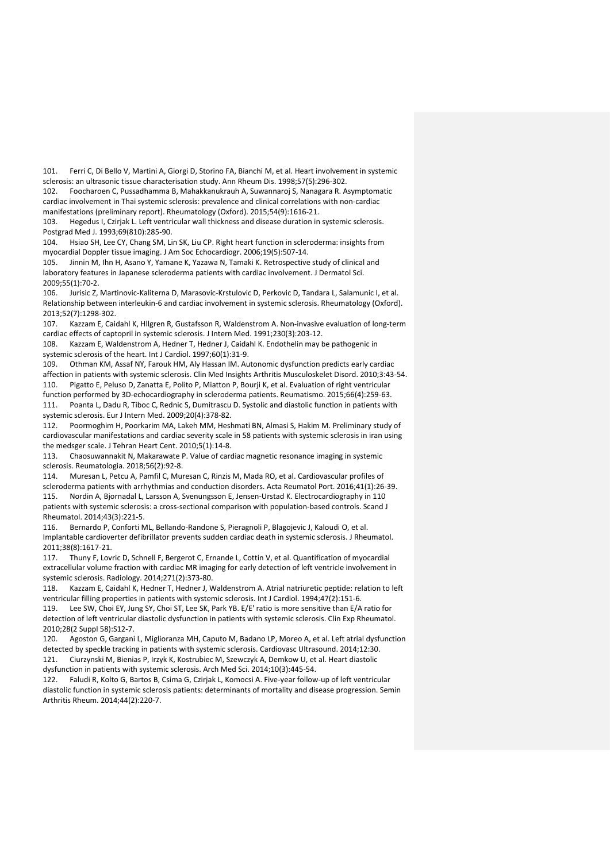101. Ferri C, Di Bello V, Martini A, Giorgi D, Storino FA, Bianchi M, et al. Heart involvement in systemic sclerosis: an ultrasonic tissue characterisation study. Ann Rheum Dis. 1998;57(5):296-302.

102. Foocharoen C, Pussadhamma B, Mahakkanukrauh A, Suwannaroj S, Nanagara R. Asymptomatic cardiac involvement in Thai systemic sclerosis: prevalence and clinical correlations with non-cardiac manifestations (preliminary report). Rheumatology (Oxford). 2015;54(9):1616-21.

103. Hegedus I, Czirjak L. Left ventricular wall thickness and disease duration in systemic sclerosis. Postgrad Med J. 1993;69(810):285-90.

104. Hsiao SH, Lee CY, Chang SM, Lin SK, Liu CP. Right heart function in scleroderma: insights from myocardial Doppler tissue imaging. J Am Soc Echocardiogr. 2006;19(5):507-14.

105. Jinnin M, Ihn H, Asano Y, Yamane K, Yazawa N, Tamaki K. Retrospective study of clinical and laboratory features in Japanese scleroderma patients with cardiac involvement. J Dermatol Sci. 2009;55(1):70-2.

106. Jurisic Z, Martinovic-Kaliterna D, Marasovic-Krstulovic D, Perkovic D, Tandara L, Salamunic I, et al. Relationship between interleukin-6 and cardiac involvement in systemic sclerosis. Rheumatology (Oxford). 2013;52(7):1298-302.

107. Kazzam E, Caidahl K, Hllgren R, Gustafsson R, Waldenstrom A. Non-invasive evaluation of long-term cardiac effects of captopril in systemic sclerosis. J Intern Med. 1991;230(3):203-12.

108. Kazzam E, Waldenstrom A, Hedner T, Hedner J, Caidahl K. Endothelin may be pathogenic in systemic sclerosis of the heart. Int J Cardiol. 1997;60(1):31-9.

109. Othman KM, Assaf NY, Farouk HM, Aly Hassan IM. Autonomic dysfunction predicts early cardiac affection in patients with systemic sclerosis. Clin Med Insights Arthritis Musculoskelet Disord. 2010;3:43-54.

110. Pigatto E, Peluso D, Zanatta E, Polito P, Miatton P, Bourji K, et al. Evaluation of right ventricular function performed by 3D-echocardiography in scleroderma patients. Reumatismo. 2015;66(4):259-63. 111. Poanta L, Dadu R, Tiboc C, Rednic S, Dumitrascu D. Systolic and diastolic function in patients with systemic sclerosis. Eur J Intern Med. 2009;20(4):378-82.

112. Poormoghim H, Poorkarim MA, Lakeh MM, Heshmati BN, Almasi S, Hakim M. Preliminary study of cardiovascular manifestations and cardiac severity scale in 58 patients with systemic sclerosis in iran using the medsger scale. J Tehran Heart Cent. 2010;5(1):14-8.

113. Chaosuwannakit N, Makarawate P. Value of cardiac magnetic resonance imaging in systemic sclerosis. Reumatologia. 2018;56(2):92-8.

114. Muresan L, Petcu A, Pamfil C, Muresan C, Rinzis M, Mada RO, et al. Cardiovascular profiles of scleroderma patients with arrhythmias and conduction disorders. Acta Reumatol Port. 2016;41(1):26-39. 115. Nordin A, Bjornadal L, Larsson A, Svenungsson E, Jensen-Urstad K. Electrocardiography in 110 patients with systemic sclerosis: a cross-sectional comparison with population-based controls. Scand J Rheumatol. 2014;43(3):221-5.

116. Bernardo P, Conforti ML, Bellando-Randone S, Pieragnoli P, Blagojevic J, Kaloudi O, et al. Implantable cardioverter defibrillator prevents sudden cardiac death in systemic sclerosis. J Rheumatol. 2011;38(8):1617-21.

117. Thuny F, Lovric D, Schnell F, Bergerot C, Ernande L, Cottin V, et al. Quantification of myocardial extracellular volume fraction with cardiac MR imaging for early detection of left ventricle involvement in systemic sclerosis. Radiology. 2014;271(2):373-80.

118. Kazzam E, Caidahl K, Hedner T, Hedner J, Waldenstrom A. Atrial natriuretic peptide: relation to left ventricular filling properties in patients with systemic sclerosis. Int J Cardiol. 1994;47(2):151-6.

119. Lee SW, Choi EY, Jung SY, Choi ST, Lee SK, Park YB. E/E' ratio is more sensitive than E/A ratio for detection of left ventricular diastolic dysfunction in patients with systemic sclerosis. Clin Exp Rheumatol. 2010;28(2 Suppl 58):S12-7.

120. Agoston G, Gargani L, Miglioranza MH, Caputo M, Badano LP, Moreo A, et al. Left atrial dysfunction detected by speckle tracking in patients with systemic sclerosis. Cardiovasc Ultrasound. 2014;12:30. 121. Ciurzynski M, Bienias P, Irzyk K, Kostrubiec M, Szewczyk A, Demkow U, et al. Heart diastolic dysfunction in patients with systemic sclerosis. Arch Med Sci. 2014;10(3):445-54.

122. Faludi R, Kolto G, Bartos B, Csima G, Czirjak L, Komocsi A. Five-year follow-up of left ventricular diastolic function in systemic sclerosis patients: determinants of mortality and disease progression. Semin Arthritis Rheum. 2014;44(2):220-7.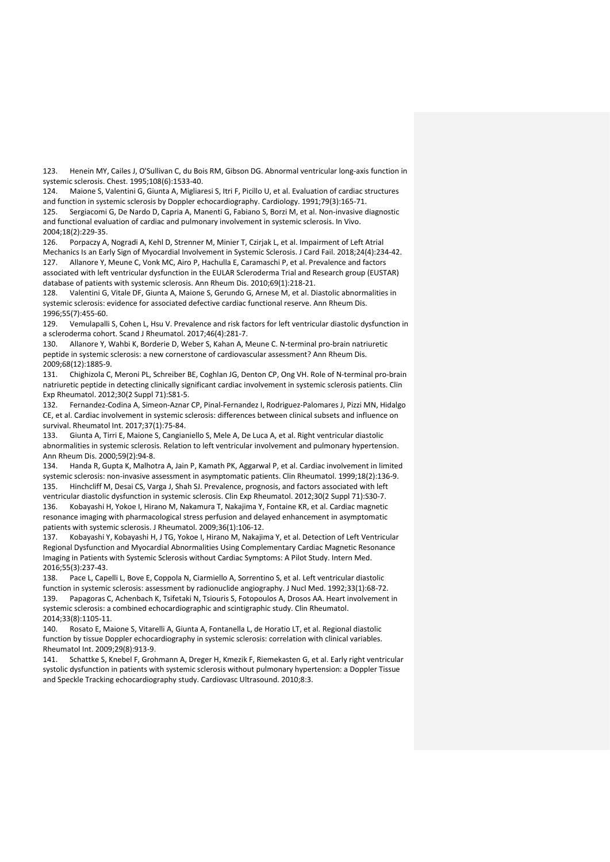123. Henein MY, Cailes J, O'Sullivan C, du Bois RM, Gibson DG. Abnormal ventricular long-axis function in systemic sclerosis. Chest. 1995;108(6):1533-40.

124. Maione S, Valentini G, Giunta A, Migliaresi S, Itri F, Picillo U, et al. Evaluation of cardiac structures and function in systemic sclerosis by Doppler echocardiography. Cardiology. 1991;79(3):165-71.

125. Sergiacomi G, De Nardo D, Capria A, Manenti G, Fabiano S, Borzi M, et al. Non-invasive diagnostic and functional evaluation of cardiac and pulmonary involvement in systemic sclerosis. In Vivo. 2004;18(2):229-35.

126. Porpaczy A, Nogradi A, Kehl D, Strenner M, Minier T, Czirjak L, et al. Impairment of Left Atrial Mechanics Is an Early Sign of Myocardial Involvement in Systemic Sclerosis. J Card Fail. 2018;24(4):234-42. 127. Allanore Y, Meune C, Vonk MC, Airo P, Hachulla E, Caramaschi P, et al. Prevalence and factors associated with left ventricular dysfunction in the EULAR Scleroderma Trial and Research group (EUSTAR)

database of patients with systemic sclerosis. Ann Rheum Dis. 2010;69(1):218-21. 128. Valentini G, Vitale DF, Giunta A, Maione S, Gerundo G, Arnese M, et al. Diastolic abnormalities in systemic sclerosis: evidence for associated defective cardiac functional reserve. Ann Rheum Dis. 1996;55(7):455-60.

129. Vemulapalli S, Cohen L, Hsu V. Prevalence and risk factors for left ventricular diastolic dysfunction in a scleroderma cohort. Scand J Rheumatol. 2017;46(4):281-7.

130. Allanore Y, Wahbi K, Borderie D, Weber S, Kahan A, Meune C. N-terminal pro-brain natriuretic peptide in systemic sclerosis: a new cornerstone of cardiovascular assessment? Ann Rheum Dis. 2009;68(12):1885-9.

131. Chighizola C, Meroni PL, Schreiber BE, Coghlan JG, Denton CP, Ong VH. Role of N-terminal pro-brain natriuretic peptide in detecting clinically significant cardiac involvement in systemic sclerosis patients. Clin Exp Rheumatol. 2012;30(2 Suppl 71):S81-5.

132. Fernandez-Codina A, Simeon-Aznar CP, Pinal-Fernandez I, Rodriguez-Palomares J, Pizzi MN, Hidalgo CE, et al. Cardiac involvement in systemic sclerosis: differences between clinical subsets and influence on survival. Rheumatol Int. 2017;37(1):75-84.

133. Giunta A, Tirri E, Maione S, Cangianiello S, Mele A, De Luca A, et al. Right ventricular diastolic abnormalities in systemic sclerosis. Relation to left ventricular involvement and pulmonary hypertension. Ann Rheum Dis. 2000;59(2):94-8.

134. Handa R, Gupta K, Malhotra A, Jain P, Kamath PK, Aggarwal P, et al. Cardiac involvement in limited systemic sclerosis: non-invasive assessment in asymptomatic patients. Clin Rheumatol. 1999;18(2):136-9. 135. Hinchcliff M, Desai CS, Varga J, Shah SJ. Prevalence, prognosis, and factors associated with left ventricular diastolic dysfunction in systemic sclerosis. Clin Exp Rheumatol. 2012;30(2 Suppl 71):S30-7.

136. Kobayashi H, Yokoe I, Hirano M, Nakamura T, Nakajima Y, Fontaine KR, et al. Cardiac magnetic resonance imaging with pharmacological stress perfusion and delayed enhancement in asymptomatic patients with systemic sclerosis. J Rheumatol. 2009;36(1):106-12.

137. Kobayashi Y, Kobayashi H, J TG, Yokoe I, Hirano M, Nakajima Y, et al. Detection of Left Ventricular Regional Dysfunction and Myocardial Abnormalities Using Complementary Cardiac Magnetic Resonance Imaging in Patients with Systemic Sclerosis without Cardiac Symptoms: A Pilot Study. Intern Med. 2016;55(3):237-43.

138. Pace L, Capelli L, Bove E, Coppola N, Ciarmiello A, Sorrentino S, et al. Left ventricular diastolic function in systemic sclerosis: assessment by radionuclide angiography. J Nucl Med. 1992;33(1):68-72. 139. Papagoras C, Achenbach K, Tsifetaki N, Tsiouris S, Fotopoulos A, Drosos AA. Heart involvement in systemic sclerosis: a combined echocardiographic and scintigraphic study. Clin Rheumatol. 2014;33(8):1105-11.

140. Rosato E, Maione S, Vitarelli A, Giunta A, Fontanella L, de Horatio LT, et al. Regional diastolic function by tissue Doppler echocardiography in systemic sclerosis: correlation with clinical variables. Rheumatol Int. 2009;29(8):913-9.

141. Schattke S, Knebel F, Grohmann A, Dreger H, Kmezik F, Riemekasten G, et al. Early right ventricular systolic dysfunction in patients with systemic sclerosis without pulmonary hypertension: a Doppler Tissue and Speckle Tracking echocardiography study. Cardiovasc Ultrasound. 2010;8:3.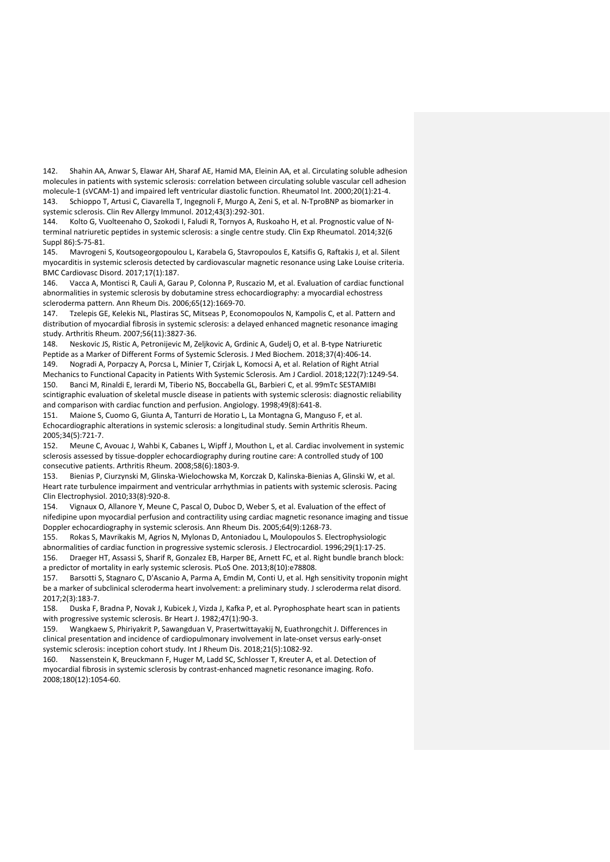142. Shahin AA, Anwar S, Elawar AH, Sharaf AE, Hamid MA, Eleinin AA, et al. Circulating soluble adhesion molecules in patients with systemic sclerosis: correlation between circulating soluble vascular cell adhesion molecule-1 (sVCAM-1) and impaired left ventricular diastolic function. Rheumatol Int. 2000;20(1):21-4. 143. Schioppo T, Artusi C, Ciavarella T, Ingegnoli F, Murgo A, Zeni S, et al. N-TproBNP as biomarker in systemic sclerosis. Clin Rev Allergy Immunol. 2012;43(3):292-301.

144. Kolto G, Vuolteenaho O, Szokodi I, Faludi R, Tornyos A, Ruskoaho H, et al. Prognostic value of Nterminal natriuretic peptides in systemic sclerosis: a single centre study. Clin Exp Rheumatol. 2014;32(6 Suppl 86):S-75-81.

145. Mavrogeni S, Koutsogeorgopoulou L, Karabela G, Stavropoulos E, Katsifis G, Raftakis J, et al. Silent myocarditis in systemic sclerosis detected by cardiovascular magnetic resonance using Lake Louise criteria. BMC Cardiovasc Disord. 2017;17(1):187.

146. Vacca A, Montisci R, Cauli A, Garau P, Colonna P, Ruscazio M, et al. Evaluation of cardiac functional abnormalities in systemic sclerosis by dobutamine stress echocardiography: a myocardial echostress scleroderma pattern. Ann Rheum Dis. 2006;65(12):1669-70.

147. Tzelepis GE, Kelekis NL, Plastiras SC, Mitseas P, Economopoulos N, Kampolis C, et al. Pattern and distribution of myocardial fibrosis in systemic sclerosis: a delayed enhanced magnetic resonance imaging study. Arthritis Rheum. 2007;56(11):3827-36.

148. Neskovic JS, Ristic A, Petronijevic M, Zeljkovic A, Grdinic A, Gudelj O, et al. B-type Natriuretic Peptide as a Marker of Different Forms of Systemic Sclerosis. J Med Biochem. 2018;37(4):406-14. 149. Nogradi A, Porpaczy A, Porcsa L, Minier T, Czirjak L, Komocsi A, et al. Relation of Right Atrial

Mechanics to Functional Capacity in Patients With Systemic Sclerosis. Am J Cardiol. 2018;122(7):1249-54. 150. Banci M, Rinaldi E, Ierardi M, Tiberio NS, Boccabella GL, Barbieri C, et al. 99mTc SESTAMIBI scintigraphic evaluation of skeletal muscle disease in patients with systemic sclerosis: diagnostic reliability and comparison with cardiac function and perfusion. Angiology. 1998;49(8):641-8.

151. Maione S, Cuomo G, Giunta A, Tanturri de Horatio L, La Montagna G, Manguso F, et al. Echocardiographic alterations in systemic sclerosis: a longitudinal study. Semin Arthritis Rheum. 2005;34(5):721-7.

152. Meune C, Avouac J, Wahbi K, Cabanes L, Wipff J, Mouthon L, et al. Cardiac involvement in systemic sclerosis assessed by tissue-doppler echocardiography during routine care: A controlled study of 100 consecutive patients. Arthritis Rheum. 2008;58(6):1803-9.

153. Bienias P, Ciurzynski M, Glinska-Wielochowska M, Korczak D, Kalinska-Bienias A, Glinski W, et al. Heart rate turbulence impairment and ventricular arrhythmias in patients with systemic sclerosis. Pacing Clin Electrophysiol. 2010;33(8):920-8.

154. Vignaux O, Allanore Y, Meune C, Pascal O, Duboc D, Weber S, et al. Evaluation of the effect of nifedipine upon myocardial perfusion and contractility using cardiac magnetic resonance imaging and tissue Doppler echocardiography in systemic sclerosis. Ann Rheum Dis. 2005;64(9):1268-73.

155. Rokas S, Mavrikakis M, Agrios N, Mylonas D, Antoniadou L, Moulopoulos S. Electrophysiologic abnormalities of cardiac function in progressive systemic sclerosis. J Electrocardiol. 1996;29(1):17-25. 156. Draeger HT, Assassi S, Sharif R, Gonzalez EB, Harper BE, Arnett FC, et al. Right bundle branch block: a predictor of mortality in early systemic sclerosis. PLoS One. 2013;8(10):e78808.

157. Barsotti S, Stagnaro C, D'Ascanio A, Parma A, Emdin M, Conti U, et al. Hgh sensitivity troponin might be a marker of subclinical scleroderma heart involvement: a preliminary study. J scleroderma relat disord. 2017;2(3):183-7.

158. Duska F, Bradna P, Novak J, Kubicek J, Vizda J, Kafka P, et al. Pyrophosphate heart scan in patients with progressive systemic sclerosis. Br Heart J. 1982;47(1):90-3.

159. Wangkaew S, Phiriyakrit P, Sawangduan V, Prasertwittayakij N, Euathrongchit J. Differences in clinical presentation and incidence of cardiopulmonary involvement in late-onset versus early-onset systemic sclerosis: inception cohort study. Int J Rheum Dis. 2018;21(5):1082-92.

160. Nassenstein K, Breuckmann F, Huger M, Ladd SC, Schlosser T, Kreuter A, et al. Detection of myocardial fibrosis in systemic sclerosis by contrast-enhanced magnetic resonance imaging. Rofo. 2008;180(12):1054-60.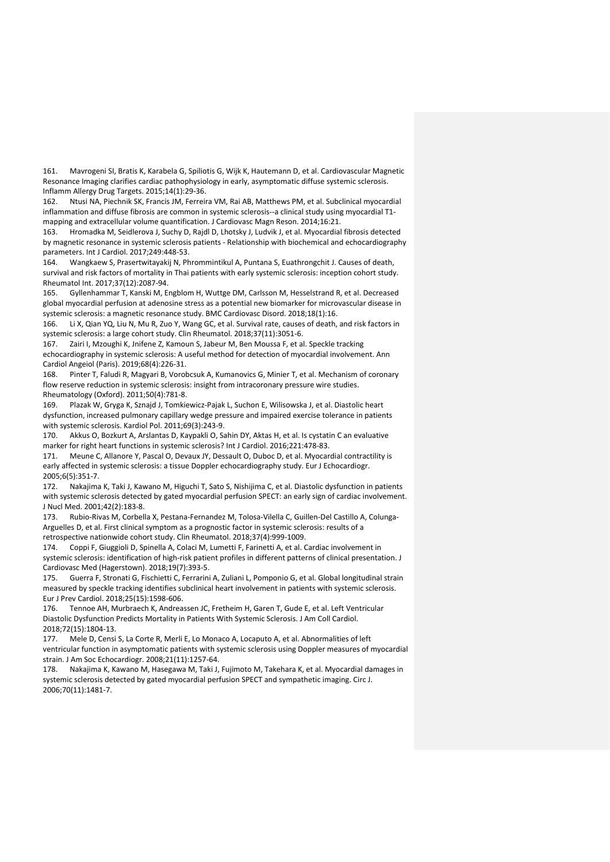161. Mavrogeni SI, Bratis K, Karabela G, Spiliotis G, Wijk K, Hautemann D, et al. Cardiovascular Magnetic Resonance Imaging clarifies cardiac pathophysiology in early, asymptomatic diffuse systemic sclerosis. Inflamm Allergy Drug Targets. 2015;14(1):29-36.

162. Ntusi NA, Piechnik SK, Francis JM, Ferreira VM, Rai AB, Matthews PM, et al. Subclinical myocardial inflammation and diffuse fibrosis are common in systemic sclerosis--a clinical study using myocardial T1 mapping and extracellular volume quantification. J Cardiovasc Magn Reson. 2014;16:21.

163. Hromadka M, Seidlerova J, Suchy D, Rajdl D, Lhotsky J, Ludvik J, et al. Myocardial fibrosis detected by magnetic resonance in systemic sclerosis patients - Relationship with biochemical and echocardiography parameters. Int J Cardiol. 2017;249:448-53.

164. Wangkaew S, Prasertwitayakij N, Phrommintikul A, Puntana S, Euathrongchit J. Causes of death, survival and risk factors of mortality in Thai patients with early systemic sclerosis: inception cohort study. Rheumatol Int. 2017;37(12):2087-94.

165. Gyllenhammar T, Kanski M, Engblom H, Wuttge DM, Carlsson M, Hesselstrand R, et al. Decreased global myocardial perfusion at adenosine stress as a potential new biomarker for microvascular disease in systemic sclerosis: a magnetic resonance study. BMC Cardiovasc Disord. 2018;18(1):16.

166. Li X, Qian YQ, Liu N, Mu R, Zuo Y, Wang GC, et al. Survival rate, causes of death, and risk factors in systemic sclerosis: a large cohort study. Clin Rheumatol. 2018;37(11):3051-6.

167. Zairi I, Mzoughi K, Jnifene Z, Kamoun S, Jabeur M, Ben Moussa F, et al. Speckle tracking echocardiography in systemic sclerosis: A useful method for detection of myocardial involvement. Ann Cardiol Angeiol (Paris). 2019;68(4):226-31.

168. Pinter T, Faludi R, Magyari B, Vorobcsuk A, Kumanovics G, Minier T, et al. Mechanism of coronary flow reserve reduction in systemic sclerosis: insight from intracoronary pressure wire studies. Rheumatology (Oxford). 2011;50(4):781-8.

169. Plazak W, Gryga K, Sznajd J, Tomkiewicz-Pajak L, Suchon E, Wilisowska J, et al. Diastolic heart dysfunction, increased pulmonary capillary wedge pressure and impaired exercise tolerance in patients with systemic sclerosis. Kardiol Pol. 2011;69(3):243-9.

170. Akkus O, Bozkurt A, Arslantas D, Kaypakli O, Sahin DY, Aktas H, et al. Is cystatin C an evaluative marker for right heart functions in systemic sclerosis? Int J Cardiol. 2016;221:478-83.

171. Meune C, Allanore Y, Pascal O, Devaux JY, Dessault O, Duboc D, et al. Myocardial contractility is early affected in systemic sclerosis: a tissue Doppler echocardiography study. Eur J Echocardiogr. 2005;6(5):351-7.

172. Nakajima K, Taki J, Kawano M, Higuchi T, Sato S, Nishijima C, et al. Diastolic dysfunction in patients with systemic sclerosis detected by gated myocardial perfusion SPECT: an early sign of cardiac involvement. J Nucl Med. 2001;42(2):183-8.

173. Rubio-Rivas M, Corbella X, Pestana-Fernandez M, Tolosa-Vilella C, Guillen-Del Castillo A, Colunga-Arguelles D, et al. First clinical symptom as a prognostic factor in systemic sclerosis: results of a retrospective nationwide cohort study. Clin Rheumatol. 2018;37(4):999-1009.

174. Coppi F, Giuggioli D, Spinella A, Colaci M, Lumetti F, Farinetti A, et al. Cardiac involvement in systemic sclerosis: identification of high-risk patient profiles in different patterns of clinical presentation. J Cardiovasc Med (Hagerstown). 2018;19(7):393-5.

175. Guerra F, Stronati G, Fischietti C, Ferrarini A, Zuliani L, Pomponio G, et al. Global longitudinal strain measured by speckle tracking identifies subclinical heart involvement in patients with systemic sclerosis. Eur J Prev Cardiol. 2018;25(15):1598-606.

176. Tennoe AH, Murbraech K, Andreassen JC, Fretheim H, Garen T, Gude E, et al. Left Ventricular Diastolic Dysfunction Predicts Mortality in Patients With Systemic Sclerosis. J Am Coll Cardiol. 2018;72(15):1804-13.

177. Mele D, Censi S, La Corte R, Merli E, Lo Monaco A, Locaputo A, et al. Abnormalities of left ventricular function in asymptomatic patients with systemic sclerosis using Doppler measures of myocardial strain. J Am Soc Echocardiogr. 2008;21(11):1257-64.

178. Nakajima K, Kawano M, Hasegawa M, Taki J, Fujimoto M, Takehara K, et al. Myocardial damages in systemic sclerosis detected by gated myocardial perfusion SPECT and sympathetic imaging. Circ J. 2006;70(11):1481-7.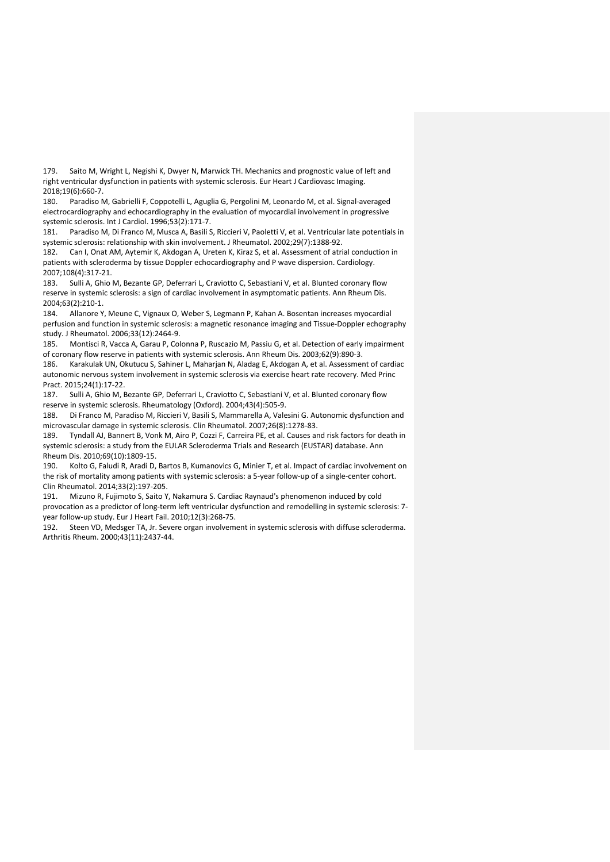179. Saito M, Wright L, Negishi K, Dwyer N, Marwick TH. Mechanics and prognostic value of left and right ventricular dysfunction in patients with systemic sclerosis. Eur Heart J Cardiovasc Imaging. 2018;19(6):660-7.

180. Paradiso M, Gabrielli F, Coppotelli L, Aguglia G, Pergolini M, Leonardo M, et al. Signal-averaged electrocardiography and echocardiography in the evaluation of myocardial involvement in progressive systemic sclerosis. Int J Cardiol. 1996;53(2):171-7.

181. Paradiso M, Di Franco M, Musca A, Basili S, Riccieri V, Paoletti V, et al. Ventricular late potentials in systemic sclerosis: relationship with skin involvement. J Rheumatol. 2002;29(7):1388-92.

182. Can I, Onat AM, Aytemir K, Akdogan A, Ureten K, Kiraz S, et al. Assessment of atrial conduction in patients with scleroderma by tissue Doppler echocardiography and P wave dispersion. Cardiology. 2007;108(4):317-21.

183. Sulli A, Ghio M, Bezante GP, Deferrari L, Craviotto C, Sebastiani V, et al. Blunted coronary flow reserve in systemic sclerosis: a sign of cardiac involvement in asymptomatic patients. Ann Rheum Dis. 2004;63(2):210-1.

184. Allanore Y, Meune C, Vignaux O, Weber S, Legmann P, Kahan A. Bosentan increases myocardial perfusion and function in systemic sclerosis: a magnetic resonance imaging and Tissue-Doppler echography study. J Rheumatol. 2006;33(12):2464-9.

185. Montisci R, Vacca A, Garau P, Colonna P, Ruscazio M, Passiu G, et al. Detection of early impairment of coronary flow reserve in patients with systemic sclerosis. Ann Rheum Dis. 2003;62(9):890-3.

186. Karakulak UN, Okutucu S, Sahiner L, Maharjan N, Aladag E, Akdogan A, et al. Assessment of cardiac autonomic nervous system involvement in systemic sclerosis via exercise heart rate recovery. Med Princ Pract. 2015;24(1):17-22.

187. Sulli A, Ghio M, Bezante GP, Deferrari L, Craviotto C, Sebastiani V, et al. Blunted coronary flow reserve in systemic sclerosis. Rheumatology (Oxford). 2004;43(4):505-9.

188. Di Franco M, Paradiso M, Riccieri V, Basili S, Mammarella A, Valesini G. Autonomic dysfunction and microvascular damage in systemic sclerosis. Clin Rheumatol. 2007;26(8):1278-83.

189. Tyndall AJ, Bannert B, Vonk M, Airo P, Cozzi F, Carreira PE, et al. Causes and risk factors for death in systemic sclerosis: a study from the EULAR Scleroderma Trials and Research (EUSTAR) database. Ann Rheum Dis. 2010;69(10):1809-15.

190. Kolto G, Faludi R, Aradi D, Bartos B, Kumanovics G, Minier T, et al. Impact of cardiac involvement on the risk of mortality among patients with systemic sclerosis: a 5-year follow-up of a single-center cohort. Clin Rheumatol. 2014;33(2):197-205.

191. Mizuno R, Fujimoto S, Saito Y, Nakamura S. Cardiac Raynaud's phenomenon induced by cold provocation as a predictor of long-term left ventricular dysfunction and remodelling in systemic sclerosis: 7 year follow-up study. Eur J Heart Fail. 2010;12(3):268-75.

192. Steen VD, Medsger TA, Jr. Severe organ involvement in systemic sclerosis with diffuse scleroderma. Arthritis Rheum. 2000;43(11):2437-44.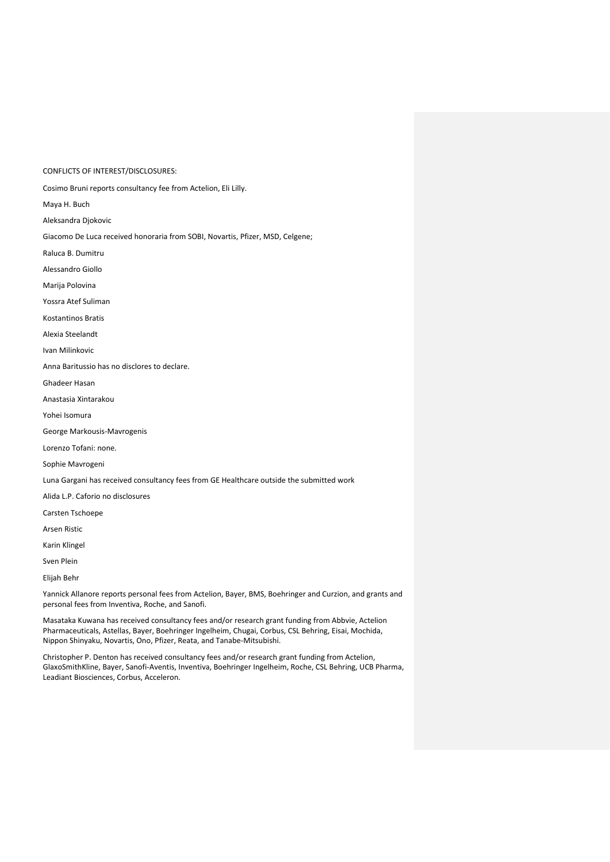CONFLICTS OF INTEREST/DISCLOSURES:

Cosimo Bruni reports consultancy fee from Actelion, Eli Lilly.

Maya H. Buch

Aleksandra Djokovic

Giacomo De Luca received honoraria from SOBI, Novartis, Pfizer, MSD, Celgene;

Raluca B. Dumitru

Alessandro Giollo

Marija Polovina

Yossra Atef Suliman

Kostantinos Bratis

Alexia Steelandt

Ivan Milinkovic

Anna Baritussio has no disclores to declare.

Ghadeer Hasan

Anastasia Xintarakou

Yohei Isomura

George Markousis-Mavrogenis

Lorenzo Tofani: none.

Sophie Mavrogeni

Luna Gargani has received consultancy fees from GE Healthcare outside the submitted work

Alida L.P. Caforio no disclosures

Carsten Tschoepe

Arsen Ristic

Karin Klingel

Sven Plein

Elijah Behr

Yannick Allanore reports personal fees from Actelion, Bayer, BMS, Boehringer and Curzion, and grants and personal fees from Inventiva, Roche, and Sanofi.

Masataka Kuwana has received consultancy fees and/or research grant funding from Abbvie, Actelion Pharmaceuticals, Astellas, Bayer, Boehringer Ingelheim, Chugai, Corbus, CSL Behring, Eisai, Mochida, Nippon Shinyaku, Novartis, Ono, Pfizer, Reata, and Tanabe-Mitsubishi.

Christopher P. Denton has received consultancy fees and/or research grant funding from Actelion, GlaxoSmithKline, Bayer, Sanofi-Aventis, Inventiva, Boehringer Ingelheim, Roche, CSL Behring, UCB Pharma, Leadiant Biosciences, Corbus, Acceleron.